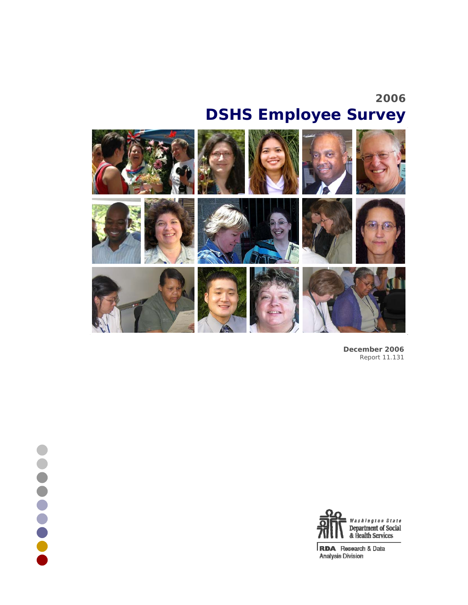# **2006 DSHS Employee Survey**



**.......** 

**December 2006** Report 11.131



**RDA** Research & Data<br>Analysis Division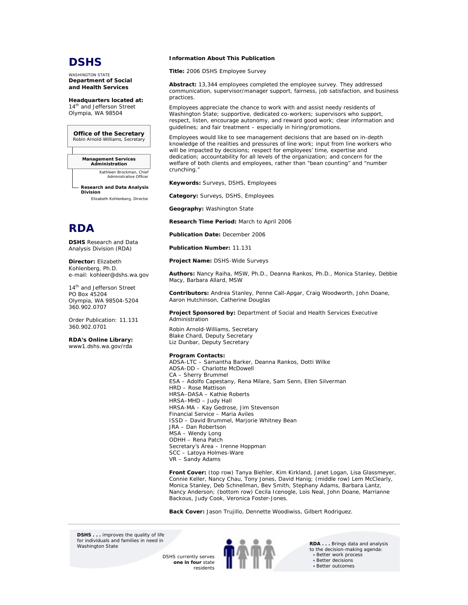# **DSHS**

WASHINGTON STATE **Department of Social and Health Services** 

**Headquarters located at:**  14<sup>th</sup> and Jefferson Street Olympia, WA 98504

#### **Office of the Secretary** Robin Arnold-Williams, Secretary

**Management Services Administration**

*Kathleen Brockman, Chief Administrative Office* 

**Research and Data Analysis Division** *Elizabeth Kohlenberg, Director*



**DSHS** Research and Data Analysis Division (RDA)

**Director:** Elizabeth Kohlenberg, Ph.D. e-mail: kohleer@dshs.wa.gov

14<sup>th</sup> and Jefferson Street PO Box 45204 Olympia, WA 98504-5204 360.902.0707

Order Publication: 11.131 360.902.0701

#### **RDA's Online Library:** www1.dshs.wa.gov/rda

 **Information About This Publication**

**Title:** 2006 DSHS Employee Survey

**Abstract:** 13,344 employees completed the employee survey. They addressed communication, supervisor/manager support, fairness, job satisfaction, and business practices.

Employees appreciate the chance to work with and assist needy residents of Washington State; supportive, dedicated co-workers; supervisors who support, respect, listen, encourage autonomy, and reward good work; clear information and guidelines; and fair treatment – especially in hiring/promotions.

Employees would like to see management decisions that are based on in-depth knowledge of the realities and pressures of line work; input from line workers who will be impacted by decisions; respect for employees' time, expertise and dedication; accountability for all levels of the organization; and concern for the welfare of both clients and employees, rather than "bean counting" and "number crunching."

**Keywords:** Surveys, DSHS, Employees

**Category:** Surveys, DSHS, Employees

**Geography:** Washington State

**Research Time Period:** March to April 2006

**Publication Date:** December 2006

**Publication Number:** 11.131

**Project Name:** DSHS-Wide Surveys

**Authors:** Nancy Raiha, MSW, Ph.D., Deanna Rankos, Ph.D., Monica Stanley, Debbie Macy, Barbara Allard, MSW

**Contributors:** Andrea Stanley, Penne Call-Apgar, Craig Woodworth, John Doane, Aaron Hutchinson, Catherine Douglas

**Project Sponsored by:** Department of Social and Health Services Executive Administration

Robin Arnold-Williams, Secretary Blake Chard, Deputy Secretary Liz Dunbar, Deputy Secretary

#### **Program Contacts:**

ADSA-LTC – Samantha Barker, Deanna Rankos, Dotti Wilke ADSA-DD – Charlotte McDowell CA – Sherry Brummel ESA – Adolfo Capestany, Rena Milare, Sam Senn, Ellen Silverman HRD – Rose Mattison HRSA–DASA – Kathie Roberts HRSA–MHD – Judy Hall HRSA-MA – Kay Gedrose, Jim Stevenson Financial Service – Maria Aviles ISSD – David Brummel, Marjorie Whitney Bean JRA – Dan Robertson MSA – Wendy Long ODHH – Rena Patch Secretary's Area – Irenne Hoppman SCC – Latoya Holmes-Ware VR – Sandy Adams

**Front Cover:** *(top row)* Tanya Biehler, Kim Kirkland, Janet Logan, Lisa Glassmeyer, Connie Keller, Nancy Chau, Tony Jones, David Hanig; *(middle row)* Lem McClearly, Monica Stanley, Deb Schnellman, Bev Smith, Stephany Adams, Barbara Lantz, Nancy Anderson; *(bottom row)* Cecila Icenogle, Lois Neal, John Doane, Marrianne Backous, Judy Cook, Veronica Foster-Jones.

**Back Cover:** Jason Trujillo, Dennette Woodiwiss, Gilbert Rodriguez.

**DSHS** . . . improves the quality of life for individuals and families in need in<br>Washington State

> DSHS currently serves **one in four** state residents



RDA . . . Brings data and analysis to the decision-making agenda: • Better work process • Better decisions • Better outcomes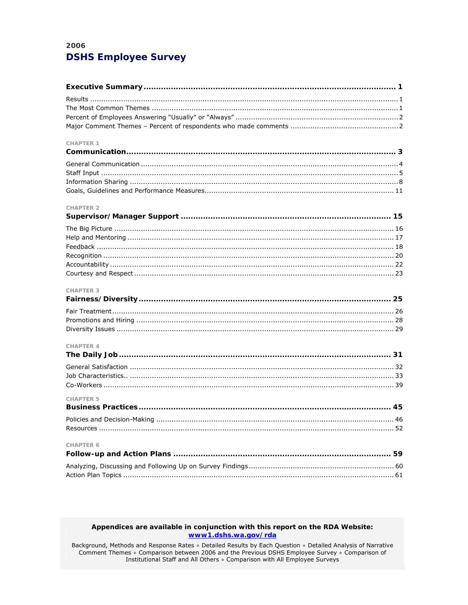# 2006 **DSHS Employee Survey**

| <b>CHAPTER 1</b> |
|------------------|
|                  |
|                  |
|                  |
|                  |
|                  |
| <b>CHAPTER 2</b> |
|                  |
|                  |
|                  |
|                  |
|                  |
|                  |
|                  |
| CHAPTER 3        |
|                  |
|                  |
|                  |
|                  |
| <b>CHAPTER 4</b> |
|                  |
|                  |
|                  |
|                  |
| <b>CHAPTER 5</b> |
|                  |
|                  |
|                  |
| <b>CHAPTER 6</b> |
|                  |
|                  |
|                  |

### Appendices are available in conjunction with this report on the RDA Website: www1.dshs.wa.gov/rda

Background, Methods and Response Rates • Detailed Results by Each Question • Detailed Analysis of Narrative Comment Themes • Comparison between 2006 and the Previous DSHS Employee Survey • Comparison of Institutional Staff and All Others . Comparison with All Employee Surveys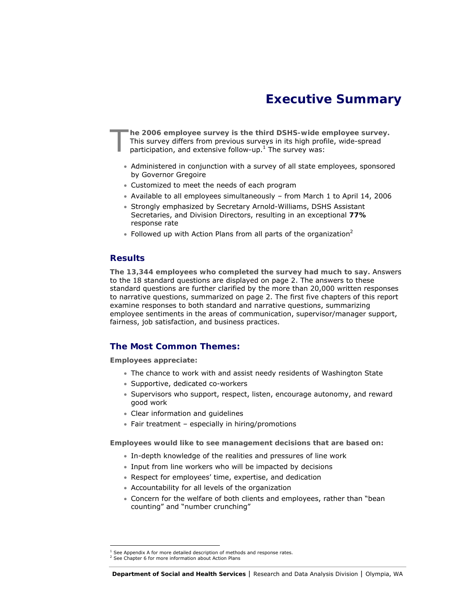# **Executive Summary**

**he 2006 employee survey is the third DSHS-wide employee survey.** This survey differs from previous surveys in its high profile, wide-spread participation, and extensive follow-up.<sup>1</sup> The survey was: T

- Administered in conjunction with a survey of all state employees, sponsored by Governor Gregoire
- Customized to meet the needs of each program
- Available to all employees simultaneously from March 1 to April 14, 2006
- Strongly emphasized by Secretary Arnold-Williams, DSHS Assistant Secretaries, and Division Directors, resulting in an exceptional **77%** response rate
- Followed up with Action Plans from all parts of the organization<sup>2</sup>

### **Results**

**The 13,344 employees who completed the survey had much to say.** Answers to the 18 standard questions are displayed on page 2. The answers to these standard questions are further clarified by the more than 20,000 written responses to narrative questions, summarized on page 2. The first five chapters of this report examine responses to both standard and narrative questions, summarizing employee sentiments in the areas of communication, supervisor/manager support, fairness, job satisfaction, and business practices.

# **The Most Common Themes:**

**Employees appreciate:** 

- The chance to work with and assist needy residents of Washington State
- Supportive, dedicated co-workers
- Supervisors who support, respect, listen, encourage autonomy, and reward good work
- Clear information and guidelines
- Fair treatment especially in hiring/promotions

**Employees would like to see management decisions that are based on:** 

- In-depth knowledge of the realities and pressures of line work
- Input from line workers who will be impacted by decisions
- Respect for employees' time, expertise, and dedication
- Accountability for all levels of the organization
- Concern for the welfare of both clients and employees, rather than "bean counting" and "number crunching"

 $\overline{a}$ 

See Appendix A for more detailed description of methods and response rates.

<sup>&</sup>lt;sup>2</sup> See Chapter 6 for more information about Action Plans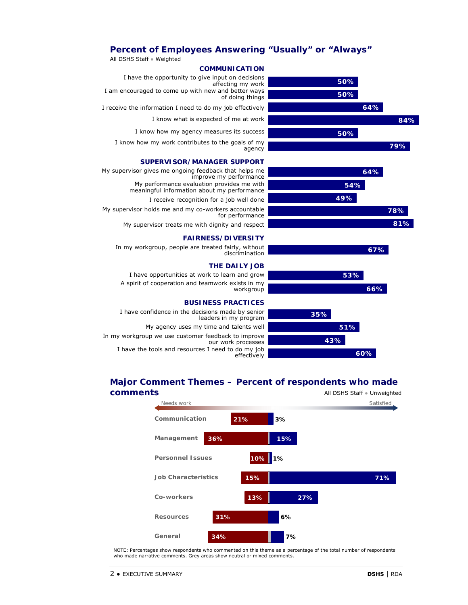# **Percent of Employees Answering "Usually" or "Always"**



# **Major Comment Themes – Percent of respondents who made**



NOTE: Percentages show respondents who commented on this theme as a percentage of the total number of respondents who made narrative comments. Grey areas show neutral or mixed comments.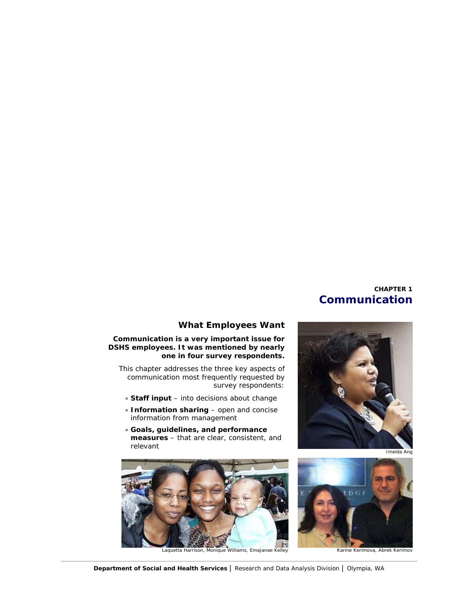# **CHAPTER 1 Communication**



# **What Employees Want**

### **Communication is a very important issue for DSHS employees. It was mentioned by nearly one in four survey respondents.**

This chapter addresses the three key aspects of communication most frequently requested by survey respondents:

- **Staff input**  into decisions about change
- **Information sharing**  open and concise information from management
- **Goals, guidelines, and performance measures** – that are clear, consistent, and relevant



Laquetta Harrison, Monique Williams, Emajanae Kelley **Karine Kerimova, Abrek Kerimov** 

Imelda Ang

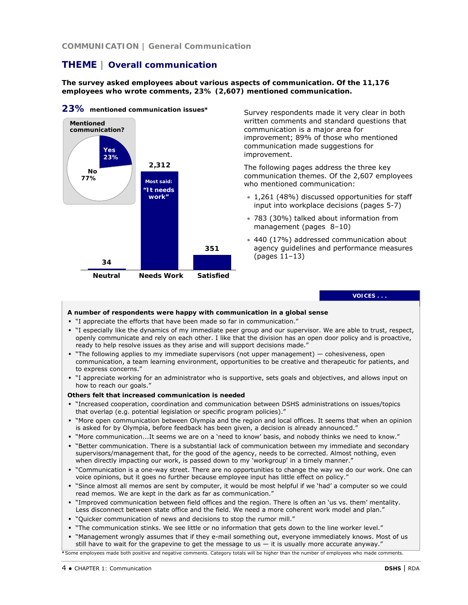**COMMUNICATION | General Communication**

# **THEME | Overall communication**

**The survey asked employees about various aspects of communication. Of the 11,176 employees who wrote comments, 23% (2,607) mentioned communication.** 



**23% mentioned communication issues\*** 

Survey respondents made it very clear in both written comments and standard questions that communication is a major area for improvement; 89% of those who mentioned communication made suggestions for improvement.

The following pages address the three key communication themes. Of the 2,607 employees who mentioned communication:

- 1,261 (48%) discussed opportunities for staff input into workplace decisions (pages 5-7)
- 783 (30%) talked about information from management (pages 8–10)
- 440 (17%) addressed communication about agency guidelines and performance measures (pages 11–13)

### **VOICES . . .**

### **A number of respondents were happy with communication in a global sense**

- "I appreciate the efforts that have been made so far in communication."
- "I especially like the dynamics of my immediate peer group and our supervisor. We are able to trust, respect, openly communicate and rely on each other. I like that the division has an open door policy and is proactive, ready to help resolve issues as they arise and will support decisions made."
- "The following applies to my immediate supervisors (not upper management) cohesiveness, open communication, a team learning environment, opportunities to be creative and therapeutic for patients, and to express concerns."
- "I appreciate working for an administrator who is supportive, sets goals and objectives, and allows input on how to reach our goals."

#### **Others felt that increased communication is needed**

- "Increased cooperation, coordination and communication between DSHS administrations on issues/topics that overlap (e.g. potential legislation or specific program policies)."
- "More open communication between Olympia and the region and local offices. It seems that when an opinion is asked for by Olympia, before feedback has been given, a decision is already announced."
- "More communication...It seems we are on a 'need to know' basis, and nobody thinks we need to know."
- "Better communication. There is a substantial lack of communication between my immediate and secondary supervisors/management that, for the good of the agency, needs to be corrected. Almost nothing, even when directly impacting our work, is passed down to my 'workgroup' in a timely manner."
- "Communication is a one-way street. There are no opportunities to change the way we do our work. One can voice opinions, but it goes no further because employee input has little effect on policy."
- "Since almost all memos are sent by computer, it would be most helpful if we 'had' a computer so we could read memos. We are kept in the dark as far as communication."
- "Improved communication between field offices and the region. There is often an 'us vs. them' mentality. Less disconnect between state office and the field. We need a more coherent work model and plan."
- "Quicker communication of news and decisions to stop the rumor mill."
- "The communication stinks. We see little or no information that gets down to the line worker level."
- "Management wrongly assumes that if they e-mail something out, everyone immediately knows. Most of us still have to wait for the grapevine to get the message to us - it is usually more accurate anyway."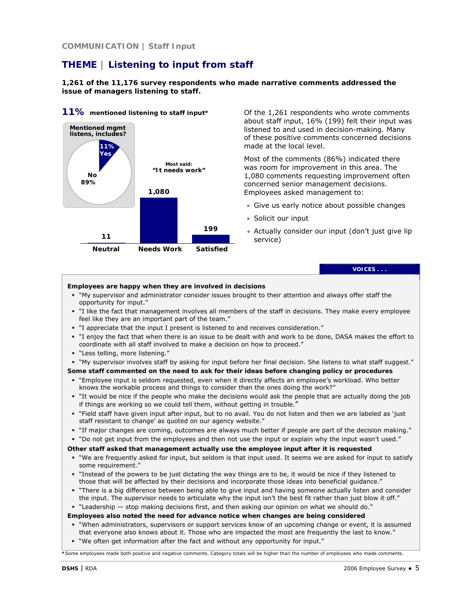# **THEME | Listening to input from staff**

**1,261 of the 11,176 survey respondents who made narrative comments addressed the issue of managers listening to staff.** 



### **11% mentioned listening to staff input\***

Of the 1,261 respondents who wrote comments about staff input, 16% (199) felt their input was listened to and used in decision-making. Many of these positive comments concerned decisions made at the local level.

Most of the comments (86%) indicated there was room for improvement in this area. The 1,080 comments requesting improvement often concerned senior management decisions. Employees asked management to:

- Give us early notice about possible changes
- Solicit our input
- Actually consider our input (don't just give lip service)

**VOICES . . .** 

#### **Employees are happy when they are involved in decisions**

- "My supervisor and administrator consider issues brought to their attention and always offer staff the opportunity for input."
- "I like the fact that management involves all members of the staff in decisions. They make every employee feel like they are an important part of the team."
- "I appreciate that the input I present is listened to and receives consideration."
- "I enjoy the fact that when there is an issue to be dealt with and work to be done, DASA makes the effort to coordinate with all staff involved to make a decision on how to proceed."
- "Less telling, more listening."
- "My supervisor involves staff by asking for input before her final decision. She listens to what staff suggest."

**Some staff commented on the need to ask for their ideas before changing policy or procedures**

- "Employee input is seldom requested, even when it directly affects an employee's workload. Who better knows the workable process and things to consider than the ones doing the work?"
- "It would be nice if the people who make the decisions would ask the people that are actually doing the job if things are working so we could tell them, without getting in trouble."
- "Field staff have given input after input, but to no avail. You do not listen and then we are labeled as 'just staff resistant to change' as quoted on our agency website."
- "If major changes are coming, outcomes are always much better if people are part of the decision making."
- "Do not get input from the employees and then not use the input or explain why the input wasn't used."

### **Other staff asked that management actually use the employee input after it is requested**

- "We are frequently asked for input, but seldom is that input used. It seems we are asked for input to satisfy some requirement."
- "Instead of the powers to be just dictating the way things are to be, it would be nice if they listened to those that will be affected by their decisions and incorporate those ideas into beneficial guidance."
- "There is a big difference between being able to give input and having someone actually listen and consider the input. The supervisor needs to articulate why the input isn't the best fit rather than just blow it off."

"Leadership — stop making decisions first, and then asking our opinion on what we should do."

**Employees also noted the need for advance notice when changes are being considered** 

- "When administrators, supervisors or support services know of an upcoming change or event, it is assumed that everyone also knows about it. Those who are impacted the most are frequently the last to know."
- "We often get information after the fact and without any opportunity for input."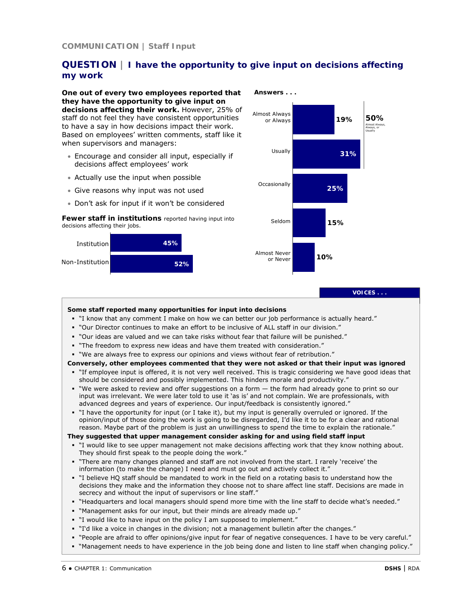# **QUESTION | I have the opportunity to give input on decisions affecting my work**

**One out of every two employees reported that they have the opportunity to give input on decisions affecting their work.** However, 25% of staff do not feel they have consistent opportunities to have a say in how decisions impact their work. Based on employees' written comments, staff like it when supervisors and managers:

- Encourage and consider all input, especially if decisions affect employees' work
- Actually use the input when possible
- Give reasons why input was not used
- Don't ask for input if it won't be considered

*Fewer staff in institutions* reported having input into decisions affecting their jobs.





**VOICES . . .** 

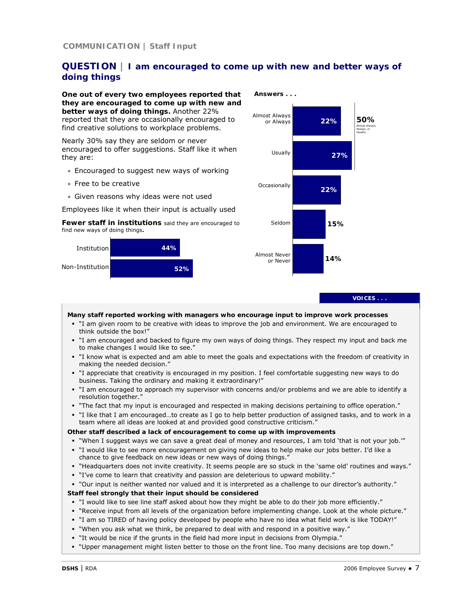# **QUESTION | I am encouraged to come up with new and better ways of doing things**

**One out of every two employees reported that they are encouraged to come up with new and better ways of doing things.** Another 22% reported that they are occasionally encouraged to find creative solutions to workplace problems.

Nearly 30% say they are seldom or never encouraged to offer suggestions. Staff like it when they are:

- Encouraged to suggest new ways of working
- Free to be creative
- Given reasons why ideas were not used

Employees like it when their input is actually used

*Fewer staff in institutions* said they are encouraged to find new ways of doing things*.*





**VOICES . . .** 

**Many staff reported working with managers who encourage input to improve work processes** 

- "I am given room to be creative with ideas to improve the job and environment. We are encouraged to think outside the box!"
- "I am encouraged and backed to figure my own ways of doing things. They respect my input and back me to make changes I would like to see."
- "I know what is expected and am able to meet the goals and expectations with the freedom of creativity in making the needed decision."
- "I appreciate that creativity is encouraged in my position. I feel comfortable suggesting new ways to do business. Taking the ordinary and making it extraordinary!"
- "I am encouraged to approach my supervisor with concerns and/or problems and we are able to identify a resolution together."
- "The fact that my input is encouraged and respected in making decisions pertaining to office operation."
- "I like that I am encouraged…to create as I go to help better production of assigned tasks, and to work in a team where all ideas are looked at and provided good constructive criticism."

### **Other staff described a lack of encouragement to come up with improvements**

- "When I suggest ways we can save a great deal of money and resources, I am told 'that is not your job.'"
- "I would like to see more encouragement on giving new ideas to help make our jobs better. I'd like a chance to give feedback on new ideas or new ways of doing things."
- "Headquarters does not invite creativity. It seems people are so stuck in the 'same old' routines and ways."
- "I've come to learn that creativity and passion are deleterious to upward mobility."
- "Our input is neither wanted nor valued and it is interpreted as a challenge to our director's authority."

### **Staff feel strongly that their input should be considered**

- "I would like to see line staff asked about how they might be able to do their job more efficiently."
- "Receive input from all levels of the organization before implementing change. Look at the whole picture."
- "I am so TIRED of having policy developed by people who have no idea what field work is like TODAY!"
- "When you ask what we think, be prepared to deal with and respond in a positive way."
- "It would be nice if the grunts in the field had more input in decisions from Olympia."
- "Upper management might listen better to those on the front line. Too many decisions are top down."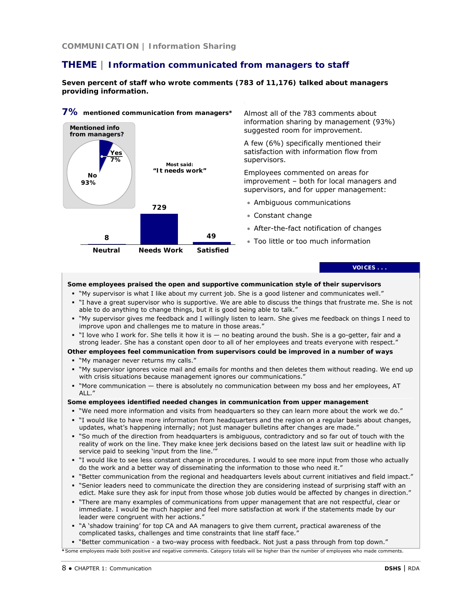# **THEME | Information communicated from managers to staff**

**Seven percent of staff who wrote comments (783 of 11,176) talked about managers providing information.** 



#### **Some employees praised the open and supportive communication style of their supervisors**

- "My supervisor is what I like about my current job. She is a good listener and communicates well."
- "I have a great supervisor who is supportive. We are able to discuss the things that frustrate me. She is not able to do anything to change things, but it is good being able to talk."
- "My supervisor gives me feedback and I willingly listen to learn. She gives me feedback on things I need to improve upon and challenges me to mature in those areas."
- "I love who I work for. She tells it how it is no beating around the bush. She is a go-getter, fair and a strong leader. She has a constant open door to all of her employees and treats everyone with respect."
- **Other employees feel communication from supervisors could be improved in a number of ways** "My manager never returns my calls."
- "My supervisor ignores voice mail and emails for months and then deletes them without reading. We end up with crisis situations because management ignores our communications."
- "More communication there is absolutely no communication between my boss and her employees, AT ALL."

#### **Some employees identified needed changes in communication from upper management**

- "We need more information and visits from headquarters so they can learn more about the work we do." "I would like to have more information from headquarters and the region on a regular basis about changes,
- updates, what's happening internally; not just manager bulletins after changes are made."
- " "So much of the direction from headquarters is ambiguous, contradictory and so far out of touch with the reality of work on the line. They make knee jerk decisions based on the latest law suit or headline with lip service paid to seeking 'input from the line.'"
- "I would like to see less constant change in procedures. I would to see more input from those who actually do the work and a better way of disseminating the information to those who need it."
- "Better communication from the regional and headquarters levels about current initiatives and field impact."
- "Senior leaders need to communicate the direction they are considering instead of surprising staff with an edict. Make sure they ask for input from those whose job duties would be affected by changes in direction."
- "There are many examples of communications from upper management that are not respectful, clear or immediate. I would be much happier and feel more satisfaction at work if the statements made by our leader were congruent with her actions."
- "A 'shadow training' for top CA and AA managers to give them current, practical awareness of the complicated tasks, challenges and time constraints that line staff face."

" "Better communication - a two-way process with feedback. Not just a pass through from top down."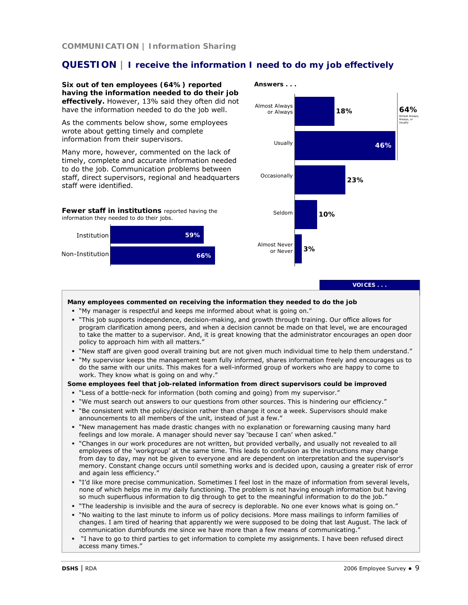# **QUESTION | I receive the information I need to do my job effectively**

**Six out of ten employees (64%) reported having the information needed to do their job effectively.** However, 13% said they often did not have the information needed to do the job well.

As the comments below show, some employees wrote about getting timely and complete information from their supervisors.

Many more, however, commented on the lack of timely, complete and accurate information needed to do the job. Communication problems between staff, direct supervisors, regional and headquarters staff were identified.

*Fewer staff in institutions* reported having the information they needed to do their jobs.





**VOICES . . .** 

#### **Many employees commented on receiving the information they needed to do the job**

- "My manager is respectful and keeps me informed about what is going on."
- "This job supports independence, decision-making, and growth through training. Our office allows for program clarification among peers, and when a decision cannot be made on that level, we are encouraged to take the matter to a supervisor. And, it is great knowing that the administrator encourages an open door policy to approach him with all matters.'
- "New staff are given good overall training but are not given much individual time to help them understand."
- "My supervisor keeps the management team fully informed, shares information freely and encourages us to do the same with our units. This makes for a well-informed group of workers who are happy to come to work. They know what is going on and why."

#### **Some employees feel that job-related information from direct supervisors could be improved**

- "Less of a bottle-neck for information (both coming and going) from my supervisor."
- "We must search out answers to our questions from other sources. This is hindering our efficiency."
- " "Be consistent with the policy/decision rather than change it once a week. Supervisors should make announcements to all members of the unit, instead of just a few."
- "New management has made drastic changes with no explanation or forewarning causing many hard feelings and low morale. A manager should never say 'because I can' when asked."
- "Changes in our work procedures are not written, but provided verbally, and usually not revealed to all employees of the 'workgroup' at the same time. This leads to confusion as the instructions may change from day to day, may not be given to everyone and are dependent on interpretation and the supervisor's memory. Constant change occurs until something works and is decided upon, causing a greater risk of error and again less efficiency."
- "I'd like more precise communication. Sometimes I feel lost in the maze of information from several levels, none of which helps me in my daily functioning. The problem is not having enough information but having so much superfluous information to dig through to get to the meaningful information to do the job."
- "The leadership is invisible and the aura of secrecy is deplorable. No one ever knows what is going on."
- "No waiting to the last minute to inform us of policy decisions. More mass mailings to inform families of changes. I am tired of hearing that apparently we were supposed to be doing that last August. The lack of communication dumbfounds me since we have more than a few means of communicating."
- "I have to go to third parties to get information to complete my assignments. I have been refused direct access many times."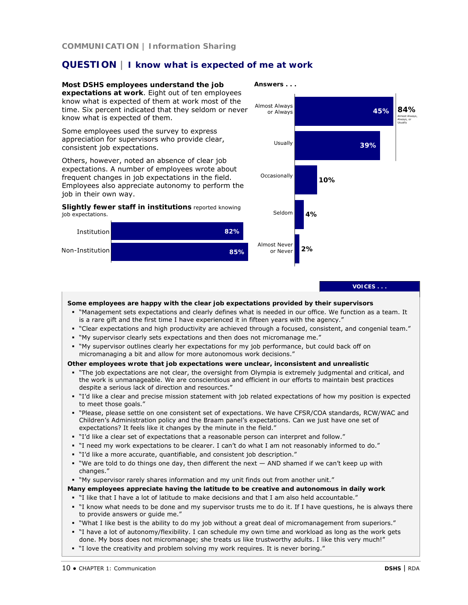# **QUESTION | I know what is expected of me at work**

**Most DSHS employees understand the job expectations at work**. Eight out of ten employees know what is expected of them at work most of the time. Six percent indicated that they seldom or never know what is expected of them.

Some employees used the survey to express appreciation for supervisors who provide clear, consistent job expectations.

Others, however, noted an absence of clear job expectations. A number of employees wrote about frequent changes in job expectations in the field. Employees also appreciate autonomy to perform the job in their own way.

#### *Slightly fewer staff in institutions* reported knowing job expectations.





#### **VOICES . . .**

#### **Some employees are happy with the clear job expectations provided by their supervisors**

- "Management sets expectations and clearly defines what is needed in our office. We function as a team. It is a rare gift and the first time I have experienced it in fifteen years with the agency."
- "Clear expectations and high productivity are achieved through a focused, consistent, and congenial team."
- "My supervisor clearly sets expectations and then does not micromanage me."
- "My supervisor outlines clearly her expectations for my job performance, but could back off on micromanaging a bit and allow for more autonomous work decisions."

### **Other employees wrote that job expectations were unclear, inconsistent and unrealistic**

- "The job expectations are not clear, the oversight from Olympia is extremely judgmental and critical, and the work is unmanageable. We are conscientious and efficient in our efforts to maintain best practices despite a serious lack of direction and resources."
- "I'd like a clear and precise mission statement with job related expectations of how my position is expected to meet those goals."
- "Please, please settle on one consistent set of expectations. We have CFSR/COA standards, RCW/WAC and Children's Administration policy and the Braam panel's expectations. Can we just have one set of expectations? It feels like it changes by the minute in the field."
- "I'd like a clear set of expectations that a reasonable person can interpret and follow."
- "I need my work expectations to be clearer. I can't do what I am not reasonably informed to do."
- "I'd like a more accurate, quantifiable, and consistent job description."
- "We are told to do things one day, then different the next  $-$  AND shamed if we can't keep up with changes."

"My supervisor rarely shares information and my unit finds out from another unit."

- **Many employees appreciate having the latitude to be creative and autonomous in daily work**
- "I like that I have a lot of latitude to make decisions and that I am also held accountable."
- "I know what needs to be done and my supervisor trusts me to do it. If I have questions, he is always there to provide answers or guide me."
- "What I like best is the ability to do my job without a great deal of micromanagement from superiors."
- "I have a lot of autonomy/flexibility. I can schedule my own time and workload as long as the work gets done. My boss does not micromanage; she treats us like trustworthy adults. I like this very much!"
- "I love the creativity and problem solving my work requires. It is never boring."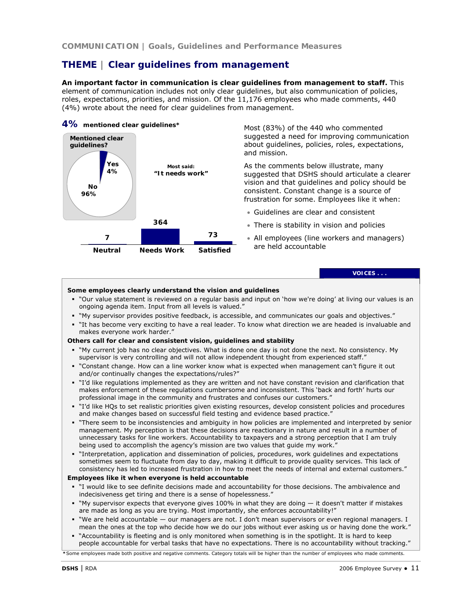# **THEME | Clear guidelines from management**

**An important factor in communication is clear guidelines from management to staff.** This element of communication includes not only clear guidelines, but also communication of policies, roles, expectations, priorities, and mission. Of the 11,176 employees who made comments, 440 (4%) wrote about the need for clear guidelines from management.

### **4% mentioned clear guidelines\***



Most (83%) of the 440 who commented suggested a need for improving communication about guidelines, policies, roles, expectations, and mission.

As the comments below illustrate, many suggested that DSHS should articulate a clearer vision and that guidelines and policy should be consistent. Constant change is a source of frustration for some. Employees like it when:

- Guidelines are clear and consistent
- There is stability in vision and policies
- All employees (line workers and managers) are held accountable

**VOICES . . .** 

### **Some employees clearly understand the vision and guidelines**

- "Our value statement is reviewed on a regular basis and input on 'how we're doing' at living our values is an ongoing agenda item. Input from all levels is valued."
- "My supervisor provides positive feedback, is accessible, and communicates our goals and objectives."
- "It has become very exciting to have a real leader. To know what direction we are headed is invaluable and makes everyone work harder."

### **Others call for clear and consistent vision, guidelines and stability**

- "My current job has no clear objectives. What is done one day is not done the next. No consistency. My supervisor is very controlling and will not allow independent thought from experienced staff."
- "Constant change. How can a line worker know what is expected when management can't figure it out and/or continually changes the expectations/rules?"
- "I'd like regulations implemented as they are written and not have constant revision and clarification that makes enforcement of these regulations cumbersome and inconsistent. This 'back and forth' hurts our professional image in the community and frustrates and confuses our customers."
- "I'd like HQs to set realistic priorities given existing resources, develop consistent policies and procedures and make changes based on successful field testing and evidence based practice."
- "There seem to be inconsistencies and ambiguity in how policies are implemented and interpreted by senior management. My perception is that these decisions are reactionary in nature and result in a number of unnecessary tasks for line workers. Accountability to taxpayers and a strong perception that I am truly being used to accomplish the agency's mission are two values that guide my work."
- "Interpretation, application and dissemination of policies, procedures, work guidelines and expectations sometimes seem to fluctuate from day to day, making it difficult to provide quality services. This lack of consistency has led to increased frustration in how to meet the needs of internal and external customers."

#### **Employees like it when everyone is held accountable**

- "I would like to see definite decisions made and accountability for those decisions. The ambivalence and indecisiveness get tiring and there is a sense of hopelessness."
- "My supervisor expects that everyone gives 100% in what they are doing it doesn't matter if mistakes are made as long as you are trying. Most importantly, she enforces accountability!"
- "We are held accountable our managers are not. I don't mean supervisors or even regional managers. I mean the ones at the top who decide how we do our jobs without ever asking us or having done the work."
- "Accountability is fleeting and is only monitored when something is in the spotlight. It is hard to keep people accountable for verbal tasks that have no expectations. There is no accountability without tracking."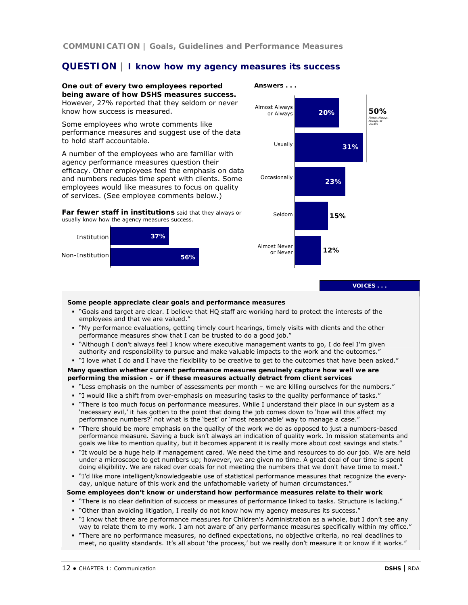**COMMUNICATION | Goals, Guidelines and Performance Measures**

# **QUESTION | I know how my agency measures its success**

**One out of every two employees reported being aware of how DSHS measures success.**  However, 27% reported that they seldom or never know how success is measured.

Some employees who wrote comments like performance measures and suggest use of the data to hold staff accountable.

A number of the employees who are familiar with agency performance measures question their efficacy. Other employees feel the emphasis on data and numbers reduces time spent with clients. Some employees would like measures to focus on quality of services. (See employee comments below.)

*Far fewer staff in institutions* said that they always or usually know how the agency measures success.





**VOICES . . .** 

#### **Some people appreciate clear goals and performance measures**

- "Goals and target are clear. I believe that HQ staff are working hard to protect the interests of the employees and that we are valued."
- "My performance evaluations, getting timely court hearings, timely visits with clients and the other performance measures show that I can be trusted to do a good job."
- "Although I don't always feel I know where executive management wants to go, I do feel I'm given authority and responsibility to pursue and make valuable impacts to the work and the outcomes."
- "I love what I do and I have the flexibility to be creative to get to the outcomes that have been asked."

### **Many question whether current performance measures genuinely capture how well we are performing the mission – or if these measures actually detract from client services**

- "Less emphasis on the number of assessments per month we are killing ourselves for the numbers."
- "I would like a shift from over-emphasis on measuring tasks to the quality performance of tasks."
- "There is too much focus on performance measures. While I understand their place in our system as a 'necessary evil,' it has gotten to the point that doing the job comes down to 'how will this affect my performance numbers?' not what is the 'best' or 'most reasonable' way to manage a case."
- "There should be more emphasis on the quality of the work we do as opposed to just a numbers-based performance measure. Saving a buck isn't always an indication of quality work. In mission statements and goals we like to mention quality, but it becomes apparent it is really more about cost savings and stats."
- "It would be a huge help if management cared. We need the time and resources to do our job. We are held under a microscope to get numbers up; however, we are given no time. A great deal of our time is spent doing eligibility. We are raked over coals for not meeting the numbers that we don't have time to meet."
- "I'd like more intelligent/knowledgeable use of statistical performance measures that recognize the everyday, unique nature of this work and the unfathomable variety of human circumstances."

#### **Some employees don't know or understand how performance measures relate to their work**

- "There is no clear definition of success or measures of performance linked to tasks. Structure is lacking."
- "Other than avoiding litigation, I really do not know how my agency measures its success."
- "I know that there are performance measures for Children's Administration as a whole, but I don't see any way to relate them to my work. I am not aware of any performance measures specifically within my office."
- "There are no performance measures, no defined expectations, no objective criteria, no real deadlines to meet, no quality standards. It's all about 'the process,' but we really don't measure it or know if it works."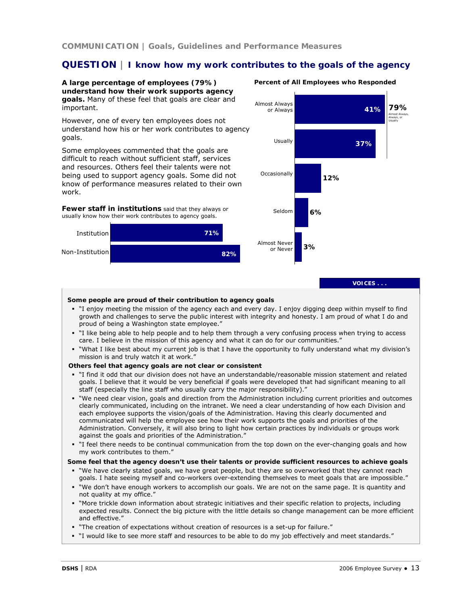# **QUESTION | I know how my work contributes to the goals of the agency**

**A large percentage of employees (79%) understand how their work supports agency goals.** Many of these feel that goals are clear and important.

However, one of every ten employees does not understand how his or her work contributes to agency goals.

Some employees commented that the goals are difficult to reach without sufficient staff, services and resources. Others feel their talents were not being used to support agency goals. Some did not know of performance measures related to their own work.

*Fewer staff in institutions* said that they always or usually know how their work contributes to agency goals.





# Percent of All Employees who Responded

**VOICES . . .** 

#### **Some people are proud of their contribution to agency goals**

- "I enjoy meeting the mission of the agency each and every day. I enjoy digging deep within myself to find growth and challenges to serve the public interest with integrity and honesty. I am proud of what I do and proud of being a Washington state employee."
- "I like being able to help people and to help them through a very confusing process when trying to access care. I believe in the mission of this agency and what it can do for our communities."
- "What I like best about my current job is that I have the opportunity to fully understand what my division's mission is and truly watch it at work."

#### **Others feel that agency goals are not clear or consistent**

- "I find it odd that our division does not have an understandable/reasonable mission statement and related goals. I believe that it would be very beneficial if goals were developed that had significant meaning to all staff (especially the line staff who usually carry the major responsibility)."
- "We need clear vision, goals and direction from the Administration including current priorities and outcomes clearly communicated, including on the intranet. We need a clear understanding of how each Division and each employee supports the vision/goals of the Administration. Having this clearly documented and communicated will help the employee see how their work supports the goals and priorities of the Administration. Conversely, it will also bring to light how certain practices by individuals or groups work against the goals and priorities of the Administration."
- " I feel there needs to be continual communication from the top down on the ever-changing goals and how my work contributes to them."

#### **Some feel that the agency doesn't use their talents or provide sufficient resources to achieve goals**

- "We have clearly stated goals, we have great people, but they are so overworked that they cannot reach goals. I hate seeing myself and co-workers over-extending themselves to meet goals that are impossible."
- "We don't have enough workers to accomplish our goals. We are not on the same page. It is quantity and not quality at my office."
- "More trickle down information about strategic initiatives and their specific relation to projects, including expected results. Connect the big picture with the little details so change management can be more efficient and effective."
- "The creation of expectations without creation of resources is a set-up for failure."
- "I would like to see more staff and resources to be able to do my job effectively and meet standards."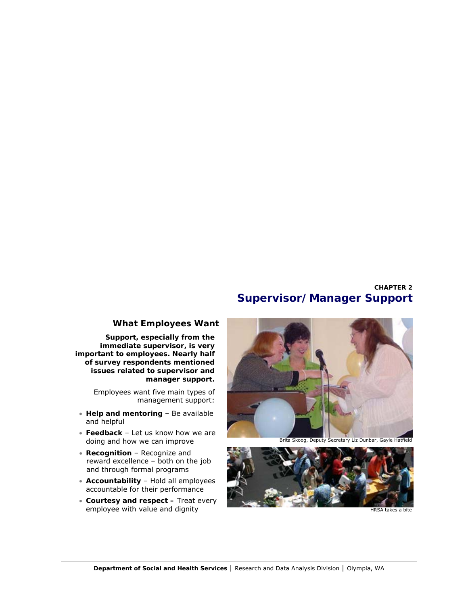# **CHAPTER 2 Supervisor/Manager Support**

# **What Employees Want**

**Support, especially from the immediate supervisor, is very important to employees. Nearly half of survey respondents mentioned issues related to supervisor and manager support.**

> Employees want five main types of management support:

- **Help and mentoring**  Be available and helpful
- **Feedback**  Let us know how we are doing and how we can improve
- **Recognition**  Recognize and reward excellence – both on the job and through formal programs
- **Accountability**  Hold all employees accountable for their performance
- **Courtesy and respect –** Treat every employee with value and dignity



Brita Skoog, Deputy Secretary Liz Dunbar, Gayle Hatfield

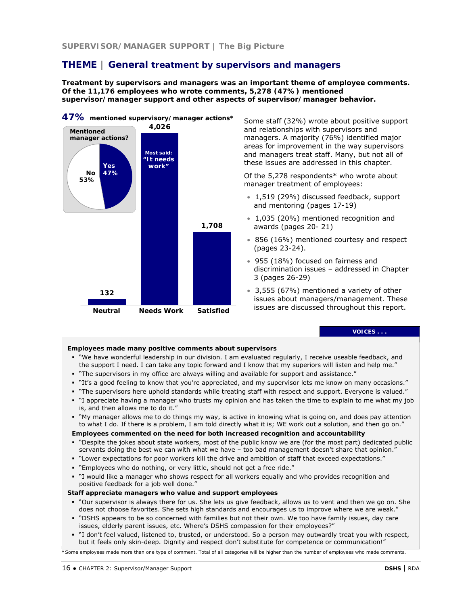# **THEME | General treatment by supervisors and managers**

**Treatment by supervisors and managers was an important theme of employee comments. Of the 11,176 employees who wrote comments, 5,278 (47%) mentioned supervisor/manager support and other aspects of supervisor/manager behavior.** 



Some staff (32%) wrote about positive support and relationships with supervisors and managers. A majority (76%) identified major areas for improvement in the way supervisors and managers treat staff. Many, but not all of these issues are addressed in this chapter.

Of the 5,278 respondents\* who wrote about manager treatment of employees:

- 1,519 (29%) discussed feedback, support and mentoring (pages 17-19)
- 1,035 (20%) mentioned recognition and awards (pages 20- 21)
- 856 (16%) mentioned courtesy and respect (pages 23-24).
- 955 (18%) focused on fairness and discrimination issues – addressed in Chapter 3 (pages 26-29)
- 3,555 (67%) mentioned a variety of other issues about managers/management. These issues are discussed throughout this report.

**VOICES . . .** 

#### **Employees made many positive comments about supervisors**

- "We have wonderful leadership in our division. I am evaluated regularly, I receive useable feedback, and the support I need. I can take any topic forward and I know that my superiors will listen and help me."
- "The supervisors in my office are always willing and available for support and assistance."
- "It's a good feeling to know that you're appreciated, and my supervisor lets me know on many occasions."
- "The supervisors here uphold standards while treating staff with respect and support. Everyone is valued."
- "I appreciate having a manager who trusts my opinion and has taken the time to explain to me what my job is, and then allows me to do it."
- "My manager allows me to do things my way, is active in knowing what is going on, and does pay attention to what I do. If there is a problem, I am told directly what it is; WE work out a solution, and then go on."

### **Employees commented on the need for both increased recognition and accountability**

- "Despite the jokes about state workers, most of the public know we are (for the most part) dedicated public servants doing the best we can with what we have – too bad management doesn't share that opinion."
- "Lower expectations for poor workers kill the drive and ambition of staff that exceed expectations."
- "Employees who do nothing, or very little, should not get a free ride."
- "I would like a manager who shows respect for all workers equally and who provides recognition and positive feedback for a job well done."

### **Staff appreciate managers who value and support employees**

- "Our supervisor is always there for us. She lets us give feedback, allows us to vent and then we go on. She does not choose favorites. She sets high standards and encourages us to improve where we are weak."
- "DSHS appears to be so concerned with families but not their own. We too have family issues, day care issues, elderly parent issues, etc. Where's DSHS compassion for their employees?"
- "I don't feel valued, listened to, trusted, or understood. So a person may outwardly treat you with respect, but it feels only skin-deep. Dignity and respect don't substitute for competence or communication!"

**\***Some employees made more than one type of comment. Total of all categories will be higher than the number of employees who made comments.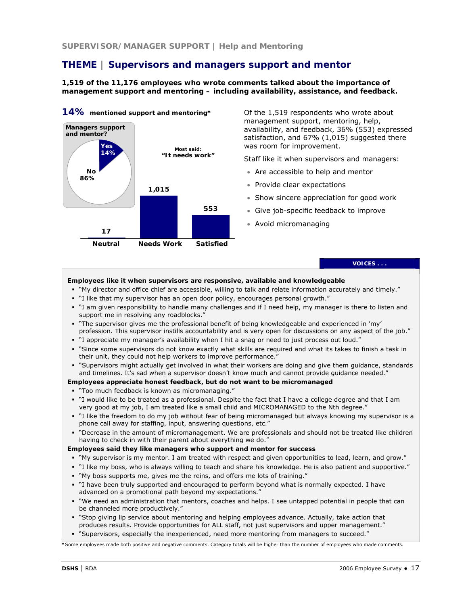# **THEME | Supervisors and managers support and mentor**

**1,519 of the 11,176 employees who wrote comments talked about the importance of management support and mentoring – including availability, assistance, and feedback.** 



**14% mentioned support and mentoring\*** 

Of the 1,519 respondents who wrote about management support, mentoring, help, availability, and feedback, 36% (553) expressed satisfaction, and 67% (1,015) suggested there was room for improvement.

Staff like it when supervisors and managers:

- Are accessible to help and mentor
- Provide clear expectations
- Show sincere appreciation for good work
- Give job-specific feedback to improve
- Avoid micromanaging

# **VOICES . . .**

### **Employees like it when supervisors are responsive, available and knowledgeable**

- "My director and office chief are accessible, willing to talk and relate information accurately and timely."
- "I like that my supervisor has an open door policy, encourages personal growth."
- "I am given responsibility to handle many challenges and if I need help, my manager is there to listen and support me in resolving any roadblocks.'
- "The supervisor gives me the professional benefit of being knowledgeable and experienced in 'my' profession. This supervisor instills accountability and is very open for discussions on any aspect of the job."
- "I appreciate my manager's availability when I hit a snag or need to just process out loud."
- "Since some supervisors do not know exactly what skills are required and what its takes to finish a task in their unit, they could not help workers to improve performance."
- "Supervisors might actually get involved in what their workers are doing and give them guidance, standards and timelines. It's sad when a supervisor doesn't know much and cannot provide quidance needed."

### **Employees appreciate honest feedback, but do not want to be micromanaged**

- "Too much feedback is known as micromanaging."
- "I would like to be treated as a professional. Despite the fact that I have a college degree and that I am very good at my job, I am treated like a small child and MICROMANAGED to the Nth degree."
- "I like the freedom to do my job without fear of being micromanaged but always knowing my supervisor is a phone call away for staffing, input, answering questions, etc."
- "Decrease in the amount of micromanagement. We are professionals and should not be treated like children having to check in with their parent about everything we do."

#### **Employees said they like managers who support and mentor for success**

- "My supervisor is my mentor. I am treated with respect and given opportunities to lead, learn, and grow."
- "I like my boss, who is always willing to teach and share his knowledge. He is also patient and supportive."
- "My boss supports me, gives me the reins, and offers me lots of training."
- "I have been truly supported and encouraged to perform beyond what is normally expected. I have advanced on a promotional path beyond my expectations."
- "We need an administration that mentors, coaches and helps. I see untapped potential in people that can be channeled more productively."
- "Stop giving lip service about mentoring and helping employees advance. Actually, take action that produces results. Provide opportunities for ALL staff, not just supervisors and upper management."
- "Supervisors, especially the inexperienced, need more mentoring from managers to succeed."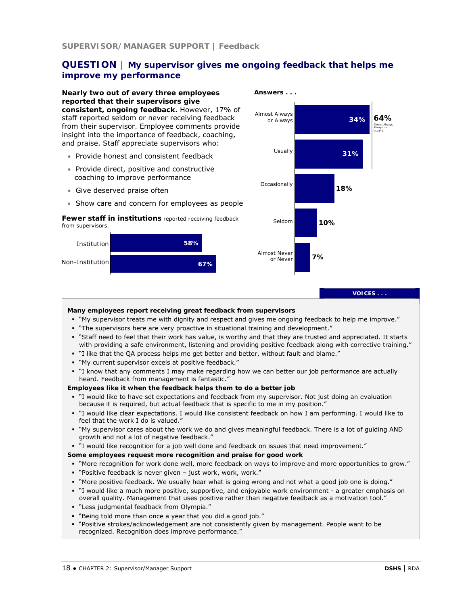# **QUESTION | My supervisor gives me ongoing feedback that helps me improve my performance**

**Nearly two out of every three employees reported that their supervisors give consistent, ongoing feedback.** However, 17% of staff reported seldom or never receiving feedback from their supervisor. Employee comments provide insight into the importance of feedback, coaching, and praise. Staff appreciate supervisors who:

- Provide honest and consistent feedback
- Provide direct, positive and constructive coaching to improve performance
- Give deserved praise often
- Show care and concern for employees as people

#### *Fewer staff in institutions* reported receiving feedback from supervisors.





**VOICES . . .** 

#### **Many employees report receiving great feedback from supervisors**

- "My supervisor treats me with dignity and respect and gives me ongoing feedback to help me improve."
- "The supervisors here are very proactive in situational training and development."
- "Staff need to feel that their work has value, is worthy and that they are trusted and appreciated. It starts with providing a safe environment, listening and providing positive feedback along with corrective training."
- "I like that the QA process helps me get better and better, without fault and blame."
- "My current supervisor excels at positive feedback."
- "I know that any comments I may make regarding how we can better our job performance are actually heard. Feedback from management is fantastic."

#### **Employees like it when the feedback helps them to do a better job**

- "I would like to have set expectations and feedback from my supervisor. Not just doing an evaluation because it is required, but actual feedback that is specific to me in my position."
- "I would like clear expectations. I would like consistent feedback on how I am performing. I would like to feel that the work I do is valued."
- "My supervisor cares about the work we do and gives meaningful feedback. There is a lot of guiding AND growth and not a lot of negative feedback."
- "I would like recognition for a job well done and feedback on issues that need improvement."

### **Some employees request more recognition and praise for good work**

- "More recognition for work done well, more feedback on ways to improve and more opportunities to grow."
- "Positive feedback is never given just work, work, work."
- "More positive feedback. We usually hear what is going wrong and not what a good job one is doing."
- "I would like a much more positive, supportive, and enjoyable work environment a greater emphasis on overall quality. Management that uses positive rather than negative feedback as a motivation tool."
- "Less judgmental feedback from Olympia."
- "Being told more than once a year that you did a good job."
- "Positive strokes/acknowledgement are not consistently given by management. People want to be recognized. Recognition does improve performance."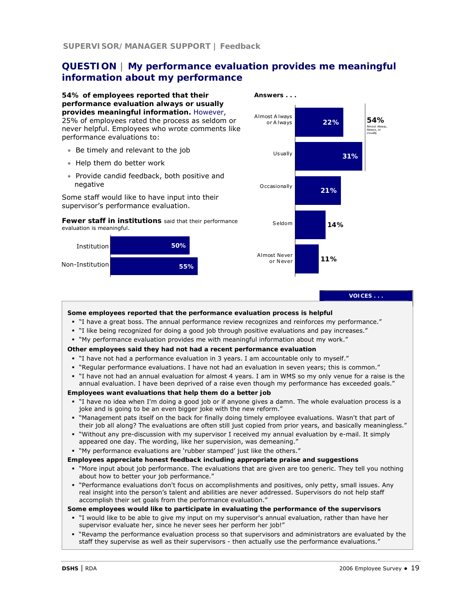# **QUESTION | My performance evaluation provides me meaningful information about my performance**

**54% of employees reported that their performance evaluation always or usually provides meaningful information.** However, 25% of employees rated the process as seldom or never helpful. Employees who wrote comments like performance evaluations to:

- Be timely and relevant to the job
- Help them do better work
- Provide candid feedback, both positive and negative

Some staff would like to have input into their supervisor's performance evaluation.







**VOICES . . .** 

**Some employees reported that the performance evaluation process is helpful**

- "I have a great boss. The annual performance review recognizes and reinforces my performance."
- "I like being recognized for doing a good job through positive evaluations and pay increases."
- "My performance evaluation provides me with meaningful information about my work."

### **Other employees said they had not had a recent performance evaluation**

- "I have not had a performance evaluation in 3 years. I am accountable only to myself."
- "Regular performance evaluations. I have not had an evaluation in seven years; this is common."
- "I have not had an annual evaluation for almost 4 years. I am in WMS so my only venue for a raise is the annual evaluation. I have been deprived of a raise even though my performance has exceeded goals."

#### **Employees want evaluations that help them do a better job**

- "I have no idea when I'm doing a good job or if anyone gives a damn. The whole evaluation process is a joke and is going to be an even bigger joke with the new reform."
- "Management pats itself on the back for finally doing timely employee evaluations. Wasn't that part of their job all along? The evaluations are often still just copied from prior years, and basically meaningless."
- "Without any pre-discussion with my supervisor I received my annual evaluation by e-mail. It simply appeared one day. The wording, like her supervision, was demeaning."
- "My performance evaluations are 'rubber stamped' just like the others."

#### **Employees appreciate honest feedback including appropriate praise and suggestions**

- "More input about job performance. The evaluations that are given are too generic. They tell you nothing about how to better your job performance."
- "Performance evaluations don't focus on accomplishments and positives, only petty, small issues. Any real insight into the person's talent and abilities are never addressed. Supervisors do not help staff accomplish their set goals from the performance evaluation."

#### **Some employees would like to participate in evaluating the performance of the supervisors**

- "I would like to be able to give my input on my supervisor's annual evaluation, rather than have her supervisor evaluate her, since he never sees her perform her job!"
- "Revamp the performance evaluation process so that supervisors and administrators are evaluated by the staff they supervise as well as their supervisors - then actually use the performance evaluations."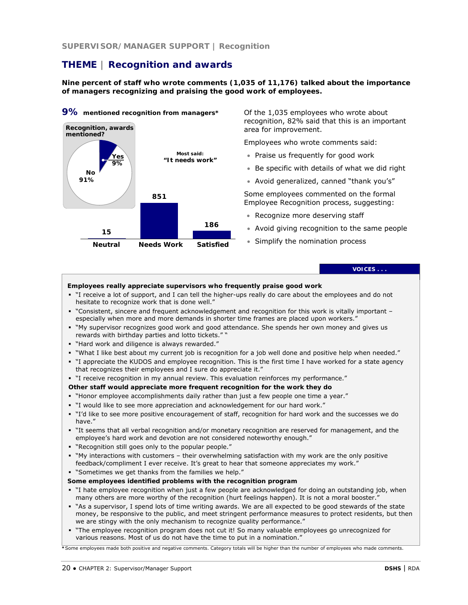**SUPERVISOR/MANAGER SUPPORT | Recognition** 

# **THEME | Recognition and awards**

**Nine percent of staff who wrote comments (1,035 of 11,176) talked about the importance of managers recognizing and praising the good work of employees.** 



**9% mentioned recognition from managers\*** 

Of the 1,035 employees who wrote about recognition, 82% said that this is an important area for improvement.

Employees who wrote comments said:

- Praise us frequently for good work
- Be specific with details of what we did right
- Avoid generalized, canned "thank you's"

Some employees commented on the formal Employee Recognition process, suggesting:

- Recognize more deserving staff
- Avoid giving recognition to the same people
- Simplify the nomination process

**VOICES . . .** 

#### **Employees really appreciate supervisors who frequently praise good work**

- "I receive a lot of support, and I can tell the higher-ups really do care about the employees and do not hesitate to recognize work that is done well."
- "Consistent, sincere and frequent acknowledgement and recognition for this work is vitally important especially when more and more demands in shorter time frames are placed upon workers."
- "My supervisor recognizes good work and good attendance. She spends her own money and gives us rewards with birthday parties and lotto tickets." "
- "Hard work and diligence is always rewarded."
- "What I like best about my current job is recognition for a job well done and positive help when needed."
- " I appreciate the KUDOS and employee recognition. This is the first time I have worked for a state agency that recognizes their employees and I sure do appreciate it."
- "I receive recognition in my annual review. This evaluation reinforces my performance."
- **Other staff would appreciate more frequent recognition for the work they do**
- "Honor employee accomplishments daily rather than just a few people one time a year."
- "I would like to see more appreciation and acknowledgement for our hard work."
- "I'd like to see more positive encouragement of staff, recognition for hard work and the successes we do have."
- "It seems that all verbal recognition and/or monetary recognition are reserved for management, and the employee's hard work and devotion are not considered noteworthy enough."
- "Recognition still goes only to the popular people."
- "My interactions with customers their overwhelming satisfaction with my work are the only positive feedback/compliment I ever receive. It's great to hear that someone appreciates my work."
- "Sometimes we get thanks from the families we help."

#### **Some employees identified problems with the recognition program**

- "I hate employee recognition when just a few people are acknowledged for doing an outstanding job, when many others are more worthy of the recognition (hurt feelings happen). It is not a moral booster."
- "As a supervisor, I spend lots of time writing awards. We are all expected to be good stewards of the state money, be responsive to the public, and meet stringent performance measures to protect residents, but then we are stingy with the only mechanism to recognize quality performance."
- "The employee recognition program does not cut it! So many valuable employees go unrecognized for various reasons. Most of us do not have the time to put in a nomination."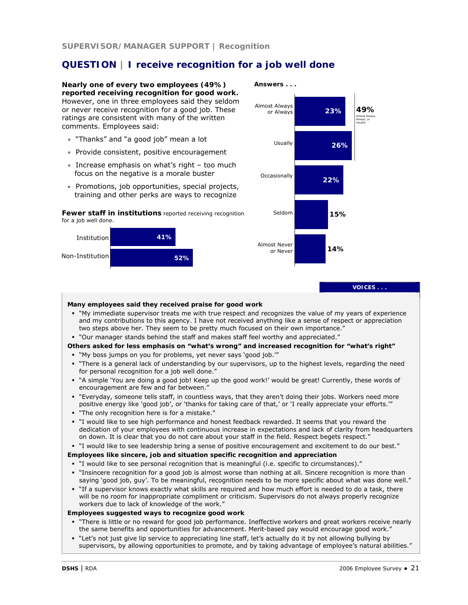# **QUESTION | I receive recognition for a job well done**

**Nearly one of every two employees (49%) reported receiving recognition for good work.**  However, one in three employees said they seldom or never receive recognition for a good job. These ratings are consistent with many of the written comments. Employees said:

- "Thanks" and "a good job" mean a lot
- Provide consistent, positive encouragement
- Increase emphasis on what's right too much focus on the negative is a morale buster
- Promotions, job opportunities, special projects, training and other perks are ways to recognize

*Fewer staff in institutions* reported receiving recognition for a job well done.





### **VOICES . . .**

### **Many employees said they received praise for good work**  " "My immediate supervisor treats me with true respect and recognizes the value of my years of experience and my contributions to this agency. I have not received anything like a sense of respect or appreciation two steps above her. They seem to be pretty much focused on their own importance." "Our manager stands behind the staff and makes staff feel worthy and appreciated." **Others asked for less emphasis on "what's wrong" and increased recognition for "what's right"** "My boss jumps on you for problems, yet never says 'good job.'" "There is a general lack of understanding by our supervisors, up to the highest levels, regarding the need for personal recognition for a job well done." "A simple 'You are doing a good job! Keep up the good work!' would be great! Currently, these words of encouragement are few and far between." "Everyday, someone tells staff, in countless ways, that they aren't doing their jobs. Workers need more positive energy like 'good job', or 'thanks for taking care of that,' or 'I really appreciate your efforts.'" "The only recognition here is for a mistake." "I would like to see high performance and honest feedback rewarded. It seems that you reward the dedication of your employees with continuous increase in expectations and lack of clarity from headquarters on down. It is clear that you do not care about your staff in the field. Respect begets respect." "I would like to see leadership bring a sense of positive encouragement and excitement to do our best." **Employees like sincere, job and situation specific recognition and appreciation** "I would like to see personal recognition that is meaningful (i.e. specific to circumstances)." "Insincere recognition for a good job is almost worse than nothing at all. Sincere recognition is more than saying 'good job, guy'. To be meaningful, recognition needs to be more specific about what was done well." "If a supervisor knows exactly what skills are required and how much effort is needed to do a task, there will be no room for inappropriate compliment or criticism. Supervisors do not always properly recognize workers due to lack of knowledge of the work." **Employees suggested ways to recognize good work**  "There is little or no reward for good job performance. Ineffective workers and great workers receive nearly the same benefits and opportunities for advancement. Merit-based pay would encourage good work." "Let's not just give lip service to appreciating line staff, let's actually do it by not allowing bullying by supervisors, by allowing opportunities to promote, and by taking advantage of employee's natural abilities."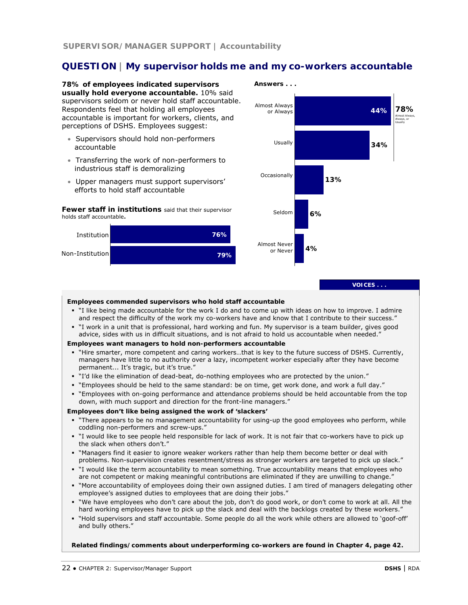# **QUESTION | My supervisor holds me and my co-workers accountable**

**78% of employees indicated supervisors usually hold everyone accountable.** 10% said supervisors seldom or never hold staff accountable. Respondents feel that holding all employees accountable is important for workers, clients, and perceptions of DSHS. Employees suggest:

- Supervisors should hold non-performers accountable
- Transferring the work of non-performers to industrious staff is demoralizing
- Upper managers must support supervisors' efforts to hold staff accountable

#### *Fewer staff in institutions* said that their supervisor holds staff accountable*.*





**VOICES . . .** 

#### **Employees commended supervisors who hold staff accountable**

- "I like being made accountable for the work I do and to come up with ideas on how to improve. I admire and respect the difficulty of the work my co-workers have and know that I contribute to their success."
- "I work in a unit that is professional, hard working and fun. My supervisor is a team builder, gives good advice, sides with us in difficult situations, and is not afraid to hold us accountable when needed."

#### **Employees want managers to hold non-performers accountable**

- "Hire smarter, more competent and caring workers…that is key to the future success of DSHS. Currently, managers have little to no authority over a lazy, incompetent worker especially after they have become permanent... It's tragic, but it's true."
- "I'd like the elimination of dead-beat, do-nothing employees who are protected by the union."
- "Employees should be held to the same standard: be on time, get work done, and work a full day."
- "Employees with on-going performance and attendance problems should be held accountable from the top down, with much support and direction for the front-line managers."

#### **Employees don't like being assigned the work of 'slackers'**

- "There appears to be no management accountability for using-up the good employees who perform, while coddling non-performers and screw-ups."
- "I would like to see people held responsible for lack of work. It is not fair that co-workers have to pick up the slack when others don't."
- "Managers find it easier to ignore weaker workers rather than help them become better or deal with problems. Non-supervision creates resentment/stress as stronger workers are targeted to pick up slack."
- "I would like the term accountability to mean something. True accountability means that employees who are not competent or making meaningful contributions are eliminated if they are unwilling to change."
- "More accountability of employees doing their own assigned duties. I am tired of managers delegating other employee's assigned duties to employees that are doing their jobs."
- "We have employees who don't care about the job, don't do good work, or don't come to work at all. All the hard working employees have to pick up the slack and deal with the backlogs created by these workers."
- "Hold supervisors and staff accountable. Some people do all the work while others are allowed to 'goof-off' and bully others."

*Related findings/comments about underperforming co-workers are found in Chapter 4, page 42.*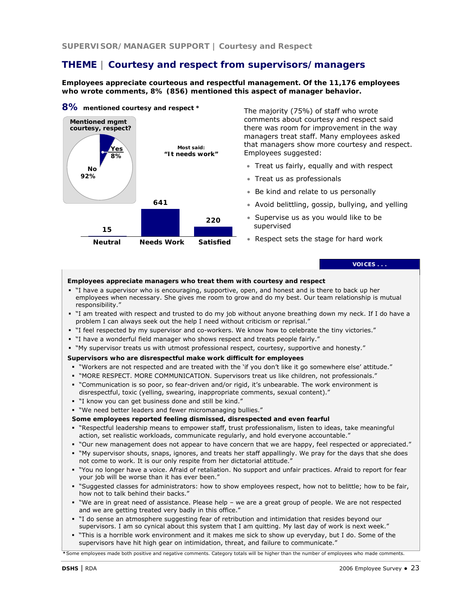# **THEME | Courtesy and respect from supervisors/managers**

**Employees appreciate courteous and respectful management. Of the 11,176 employees who wrote comments, 8% (856) mentioned this aspect of manager behavior.** 

#### **8% mentioned courtesy and respect \***



The majority (75%) of staff who wrote comments about courtesy and respect said there was room for improvement in the way managers treat staff. Many employees asked that managers show more courtesy and respect. Employees suggested:

- Treat us fairly, equally and with respect
- Treat us as professionals
- Be kind and relate to us personally
- Avoid belittling, gossip, bullying, and yelling
- Supervise us as you would like to be supervised
- Respect sets the stage for hard work

**VOICES . . .** 

### **Employees appreciate managers who treat them with courtesy and respect**

- "I have a supervisor who is encouraging, supportive, open, and honest and is there to back up her employees when necessary. She gives me room to grow and do my best. Our team relationship is mutual responsibility."
- "I am treated with respect and trusted to do my job without anyone breathing down my neck. If I do have a problem I can always seek out the help I need without criticism or reprisal."
- "I feel respected by my supervisor and co-workers. We know how to celebrate the tiny victories."
- "I have a wonderful field manager who shows respect and treats people fairly."
- "My supervisor treats us with utmost professional respect, courtesy, supportive and honesty."

#### **Supervisors who are disrespectful make work difficult for employees**

- "Workers are not respected and are treated with the 'if you don't like it go somewhere else' attitude."
- "MORE RESPECT. MORE COMMUNICATION. Supervisors treat us like children, not professionals."
- "Communication is so poor, so fear-driven and/or rigid, it's unbearable. The work environment is disrespectful, toxic (yelling, swearing, inappropriate comments, sexual content)."
- "I know you can get business done and still be kind."
- "We need better leaders and fewer micromanaging bullies."

#### **Some employees reported feeling dismissed, disrespected and even fearful**

- "Respectful leadership means to empower staff, trust professionalism, listen to ideas, take meaningful action, set realistic workloads, communicate regularly, and hold everyone accountable."
- "Our new management does not appear to have concern that we are happy, feel respected or appreciated."
- "My supervisor shouts, snaps, ignores, and treats her staff appallingly. We pray for the days that she does not come to work. It is our only respite from her dictatorial attitude."
- "You no longer have a voice. Afraid of retaliation. No support and unfair practices. Afraid to report for fear your job will be worse than it has ever been."
- "Suggested classes for administrators: how to show employees respect, how not to belittle; how to be fair, how not to talk behind their backs."
- "We are in great need of assistance. Please help we are a great group of people. We are not respected and we are getting treated very badly in this office."
- "I do sense an atmosphere suggesting fear of retribution and intimidation that resides beyond our supervisors. I am so cynical about this system that I am quitting. My last day of work is next week."
- "This is a horrible work environment and it makes me sick to show up everyday, but I do. Some of the supervisors have hit high gear on intimidation, threat, and failure to communicate."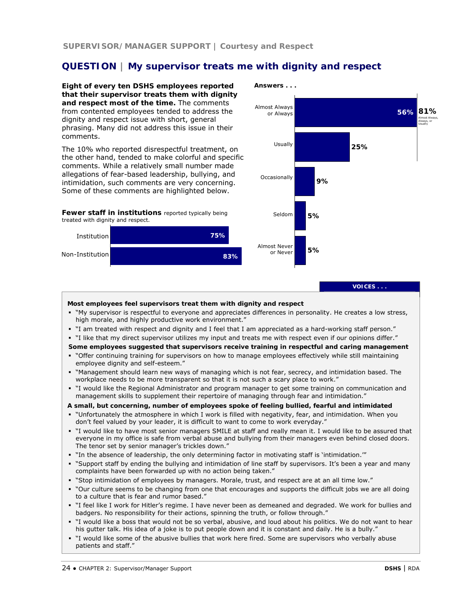# **QUESTION | My supervisor treats me with dignity and respect**

**Eight of every ten DSHS employees reported that their supervisor treats them with dignity and respect most of the time.** The comments from contented employees tended to address the dignity and respect issue with short, general phrasing. Many did not address this issue in their comments.

The 10% who reported disrespectful treatment, on the other hand, tended to make colorful and specific comments. While a relatively small number made allegations of fear-based leadership, bullying, and intimidation, such comments are very concerning. Some of these comments are highlighted below.

*Fewer staff in institutions* reported typically being treated with dignity and respect.





### **VOICES . . .**

#### **Most employees feel supervisors treat them with dignity and respect**

- "My supervisor is respectful to everyone and appreciates differences in personality. He creates a low stress, high morale, and highly productive work environment."
- "I am treated with respect and dignity and I feel that I am appreciated as a hard-working staff person."
- "I like that my direct supervisor utilizes my input and treats me with respect even if our opinions differ."

### **Some employees suggested that supervisors receive training in respectful and caring management**

- "Offer continuing training for supervisors on how to manage employees effectively while still maintaining employee dignity and self-esteem."
- "Management should learn new ways of managing which is not fear, secrecy, and intimidation based. The workplace needs to be more transparent so that it is not such a scary place to work."
- "I would like the Regional Administrator and program manager to get some training on communication and management skills to supplement their repertoire of managing through fear and intimidation."

### **A small, but concerning, number of employees spoke of feeling bullied, fearful and intimidated**

- "Unfortunately the atmosphere in which I work is filled with negativity, fear, and intimidation. When you don't feel valued by your leader, it is difficult to want to come to work everyday."
- "I would like to have most senior managers SMILE at staff and really mean it. I would like to be assured that everyone in my office is safe from verbal abuse and bullying from their managers even behind closed doors. The tenor set by senior manager's trickles down."
- "In the absence of leadership, the only determining factor in motivating staff is 'intimidation."
- "Support staff by ending the bullying and intimidation of line staff by supervisors. It's been a year and many complaints have been forwarded up with no action being taken."
- "Stop intimidation of employees by managers. Morale, trust, and respect are at an all time low."
- "Our culture seems to be changing from one that encourages and supports the difficult jobs we are all doing to a culture that is fear and rumor based."
- "I feel like I work for Hitler's regime. I have never been as demeaned and degraded. We work for bullies and badgers. No responsibility for their actions, spinning the truth, or follow through."
- "I would like a boss that would not be so verbal, abusive, and loud about his politics. We do not want to hear his gutter talk. His idea of a joke is to put people down and it is constant and daily. He is a bully."
- "I would like some of the abusive bullies that work here fired. Some are supervisors who verbally abuse patients and staff."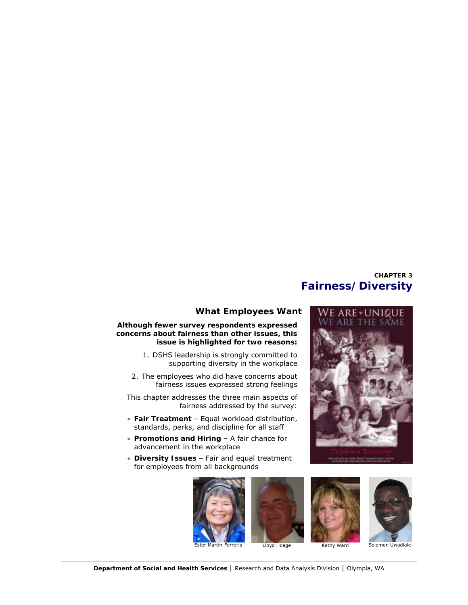# **CHAPTER 3 Fairness/Diversity**



### **Although fewer survey respondents expressed concerns about fairness than other issues, this issue is highlighted for two reasons:**

- 1. DSHS leadership is strongly committed to supporting diversity in the workplace
- 2. The employees who did have concerns about fairness issues expressed strong feelings

This chapter addresses the three main aspects of fairness addressed by the survey:

- **Fair Treatment**  Equal workload distribution, standards, perks, and discipline for all staff
- **Promotions and Hiring**  A fair chance for advancement in the workplace
- **Diversity Issues**  Fair and equal treatment for employees from all backgrounds









### **Department of Social and Health Services** | Research and Data Analysis Division | Olympia, WA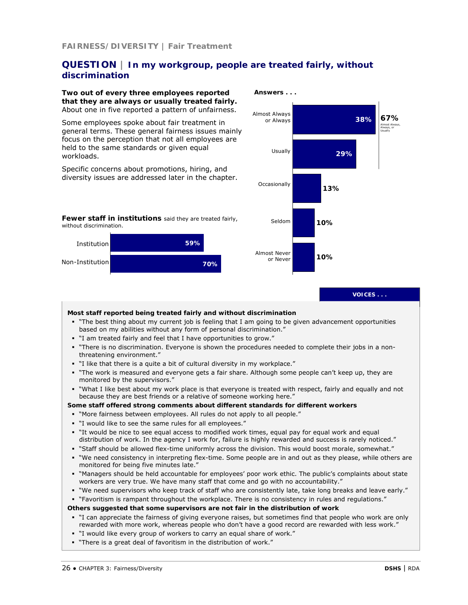# **QUESTION | In my workgroup, people are treated fairly, without discrimination**

#### **Two out of every three employees reported that they are always or usually treated fairly.**  About one in five reported a pattern of unfairness.

Some employees spoke about fair treatment in general terms. These general fairness issues mainly focus on the perception that not all employees are held to the same standards or given equal workloads.

Specific concerns about promotions, hiring, and diversity issues are addressed later in the chapter.







**VOICES . . .** 

### **Most staff reported being treated fairly and without discrimination** "The best thing about my current job is feeling that I am going to be given advancement opportunities based on my abilities without any form of personal discrimination." "I am treated fairly and feel that I have opportunities to grow." "There is no discrimination. Everyone is shown the procedures needed to complete their jobs in a nonthreatening environment." "I like that there is a quite a bit of cultural diversity in my workplace." "The work is measured and everyone gets a fair share. Although some people can't keep up, they are monitored by the supervisors." "What I like best about my work place is that everyone is treated with respect, fairly and equally and not because they are best friends or a relative of someone working here." **Some staff offered strong comments about different standards for different workers**  "More fairness between employees. All rules do not apply to all people." "I would like to see the same rules for all employees." "It would be nice to see equal access to modified work times, equal pay for equal work and equal distribution of work. In the agency I work for, failure is highly rewarded and success is rarely noticed." "Staff should be allowed flex-time uniformly across the division. This would boost morale, somewhat." "We need consistency in interpreting flex-time. Some people are in and out as they please, while others are monitored for being five minutes late." "Managers should be held accountable for employees' poor work ethic. The public's complaints about state workers are very true. We have many staff that come and go with no accountability." "We need supervisors who keep track of staff who are consistently late, take long breaks and leave early." "Favoritism is rampant throughout the workplace. There is no consistency in rules and regulations." **Others suggested that some supervisors are not fair in the distribution of work**  " I can appreciate the fairness of giving everyone raises, but sometimes find that people who work are only rewarded with more work, whereas people who don't have a good record are rewarded with less work." "I would like every group of workers to carry an equal share of work." "There is a great deal of favoritism in the distribution of work."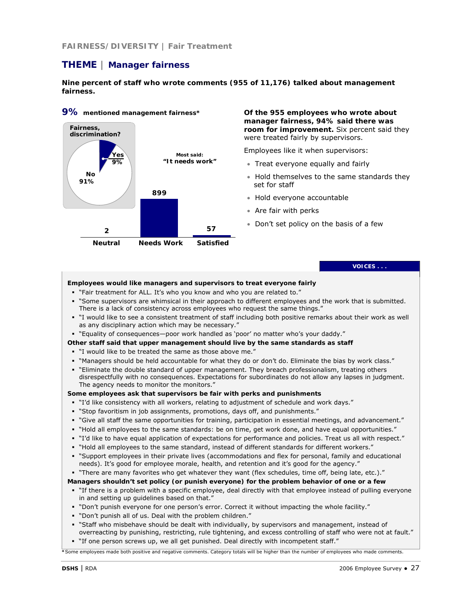## **FAIRNESS/DIVERSITY | Fair Treatment**

# **THEME | Manager fairness**

**Nine percent of staff who wrote comments (955 of 11,176) talked about management fairness.** 



# **9% mentioned management fairness\***

**Of the 955 employees who wrote about manager fairness, 94% said there was room for improvement.** Six percent said they were treated fairly by supervisors.

Employees like it when supervisors:

- Treat everyone equally and fairly
- Hold themselves to the same standards they set for staff
- Hold everyone accountable
- Are fair with perks
- Don't set policy on the basis of a few

### **VOICES . . .**

#### **Employees would like managers and supervisors to treat everyone fairly**

- "Fair treatment for ALL. It's who you know and who you are related to."
- "Some supervisors are whimsical in their approach to different employees and the work that is submitted. There is a lack of consistency across employees who request the same things."
- "I would like to see a consistent treatment of staff including both positive remarks about their work as well as any disciplinary action which may be necessary."
- "Equality of consequences—poor work handled as 'poor' no matter who's your daddy."
- **Other staff said that upper management should live by the same standards as staff**
- "I would like to be treated the same as those above me."
- "Managers should be held accountable for what they do or don't do. Eliminate the bias by work class."
- "Eliminate the double standard of upper management. They breach professionalism, treating others disrespectfully with no consequences. Expectations for subordinates do not allow any lapses in judgment. The agency needs to monitor the monitors."

#### **Some employees ask that supervisors be fair with perks and punishments**

- "I'd like consistency with all workers, relating to adjustment of schedule and work days."
- "Stop favoritism in job assignments, promotions, days off, and punishments."
- "Give all staff the same opportunities for training, participation in essential meetings, and advancement."
- "Hold all employees to the same standards: be on time, get work done, and have equal opportunities."
- "I'd like to have equal application of expectations for performance and policies. Treat us all with respect."
- "Hold all employees to the same standard, instead of different standards for different workers."
- "Support employees in their private lives (accommodations and flex for personal, family and educational needs). It's good for employee morale, health, and retention and it's good for the agency."
- "There are many favorites who get whatever they want (flex schedules, time off, being late, etc.)."

### **Managers shouldn't set policy (or punish everyone) for the problem behavior of one or a few**

- "If there is a problem with a specific employee, deal directly with that employee instead of pulling everyone in and setting up guidelines based on that."
- "Don't punish everyone for one person's error. Correct it without impacting the whole facility."
- "Don't punish all of us. Deal with the problem children."
- " Staff who misbehave should be dealt with individually, by supervisors and management, instead of overreacting by punishing, restricting, rule tightening, and excess controlling of staff who were not at fault."
- "If one person screws up, we all get punished. Deal directly with incompetent staff."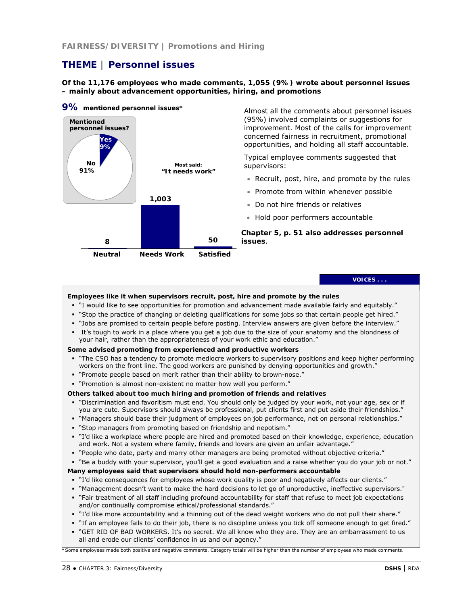# **THEME | Personnel issues**

### **Of the 11,176 employees who made comments, 1,055 (9%) wrote about personnel issues – mainly about advancement opportunities, hiring, and promotions**



Almost all the comments about personnel issues (95%) involved complaints or suggestions for improvement. Most of the calls for improvement concerned fairness in recruitment, promotional opportunities, and holding all staff accountable.

Typical employee comments suggested that supervisors:

- Recruit, post, hire, and promote by the rules
- Promote from within whenever possible
- Do not hire friends or relatives
- Hold poor performers accountable

*Chapter 5, p. 51 also addresses personnel issues*.

#### **VOICES . . .**

#### **Employees like it when supervisors recruit, post, hire and promote by the rules**

- "I would like to see opportunities for promotion and advancement made available fairly and equitably."
- "Stop the practice of changing or deleting qualifications for some jobs so that certain people get hired."
- "Jobs are promised to certain people before posting. Interview answers are given before the interview."
- It's tough to work in a place where you get a job due to the size of your anatomy and the blondness of your hair, rather than the appropriateness of your work ethic and education."

#### **Some advised promoting from experienced and productive workers**

- " "The CSO has a tendency to promote mediocre workers to supervisory positions and keep higher performing workers on the front line. The good workers are punished by denying opportunities and growth."
- "Promote people based on merit rather than their ability to brown-nose."
- "Promotion is almost non-existent no matter how well you perform."

#### **Others talked about too much hiring and promotion of friends and relatives**

- "Discrimination and favoritism must end. You should only be judged by your work, not your age, sex or if you are cute. Supervisors should always be professional, put clients first and put aside their friendships."
- "Managers should base their judgment of employees on job performance, not on personal relationships."
- "Stop managers from promoting based on friendship and nepotism."
- "I'd like a workplace where people are hired and promoted based on their knowledge, experience, education and work. Not a system where family, friends and lovers are given an unfair advantage."
- "People who date, party and marry other managers are being promoted without objective criteria."
- "Be a buddy with your supervisor, you'll get a good evaluation and a raise whether you do your job or not."

### **Many employees said that supervisors should hold non-performers accountable**

- "I'd like consequences for employees whose work quality is poor and negatively affects our clients."
- "Management doesn't want to make the hard decisions to let go of unproductive, ineffective supervisors."
- "Fair treatment of all staff including profound accountability for staff that refuse to meet job expectations and/or continually compromise ethical/professional standards."
- "I'd like more accountability and a thinning out of the dead weight workers who do not pull their share."
- "If an employee fails to do their job, there is no discipline unless you tick off someone enough to get fired."
- " "GET RID OF BAD WORKERS. It's no secret. We all know who they are. They are an embarrassment to us all and erode our clients' confidence in us and our agency."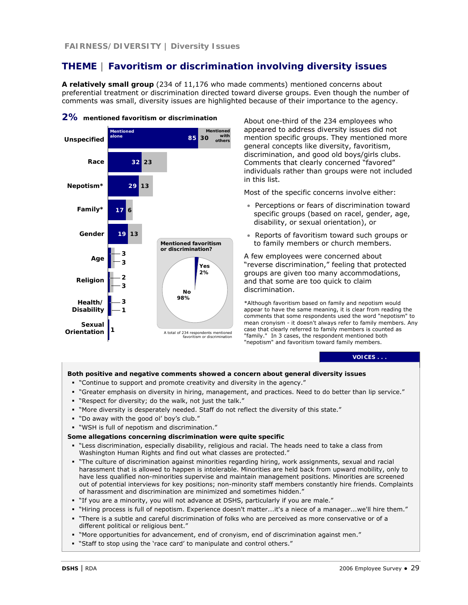# **THEME | Favoritism or discrimination involving diversity issues**

**A relatively small group** (234 of 11,176 who made comments) mentioned concerns about preferential treatment or discrimination directed toward diverse groups. Even though the number of comments was small, diversity issues are highlighted because of their importance to the agency.



### **2% mentioned favoritism or discrimination**

About one-third of the 234 employees who appeared to address diversity issues did not mention specific groups. They mentioned more general concepts like diversity, favoritism, discrimination, and good old boys/girls clubs. Comments that clearly concerned "favored" individuals rather than groups were not included in this list.

Most of the specific concerns involve either:

- Perceptions or fears of discrimination toward specific groups (based on racel, gender, age, disability, or sexual orientation), or
- Reports of favoritism toward such groups or to family members or church members.

A few employees were concerned about "reverse discrimination," feeling that protected groups are given too many accommodations, and that some are too quick to claim discrimination.

\*Although favoritism based on family and nepotism would appear to have the same meaning, it is clear from reading the comments that some respondents used the word "nepotism" to mean cronyism - it doesn't always refer to family members. Any case that clearly referred to family members is counted as "family." In 3 cases, the respondent mentioned both "nepotism" and favoritism toward family members.

#### **VOICES . . .**

### **Both positive and negative comments showed a concern about general diversity issues**

- "Continue to support and promote creativity and diversity in the agency."
- "Greater emphasis on diversity in hiring, management, and practices. Need to do better than lip service."
- "Respect for diversity; do the walk, not just the talk."
- "More diversity is desperately needed. Staff do not reflect the diversity of this state."
- "Do away with the good ol' boy's club."
- "WSH is full of nepotism and discrimination."

#### **Some allegations concerning discrimination were quite specific**

- "Less discrimination, especially disability, religious and racial. The heads need to take a class from Washington Human Rights and find out what classes are protected."
- "The culture of discrimination against minorities regarding hiring, work assignments, sexual and racial harassment that is allowed to happen is intolerable. Minorities are held back from upward mobility, only to have less qualified non-minorities supervise and maintain management positions. Minorities are screened out of potential interviews for key positions; non-minority staff members constantly hire friends. Complaints of harassment and discrimination are minimized and sometimes hidden."
- "If you are a minority, you will not advance at DSHS, particularly if you are male."
- "Hiring process is full of nepotism. Experience doesn't matter...it's a niece of a manager...we'll hire them."
- "There is a subtle and careful discrimination of folks who are perceived as more conservative or of a different political or religious bent."
- "More opportunities for advancement, end of cronyism, end of discrimination against men."
- "Staff to stop using the 'race card' to manipulate and control others."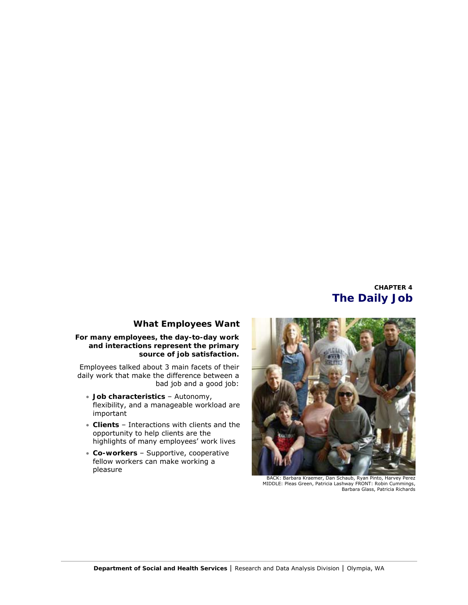# **CHAPTER 4 The Daily Job**

# **What Employees Want**

### **For many employees, the day-to-day work and interactions represent the primary source of job satisfaction.**

Employees talked about 3 main facets of their daily work that make the difference between a bad job and a good job:

- **Job characteristics**  Autonomy, flexibility, and a manageable workload are important
- **Clients**  Interactions with clients and the opportunity to help clients are the highlights of many employees' work lives
- **Co-workers**  Supportive, cooperative fellow workers can make working a pleasure



BACK: Barbara Kraemer, Dan Schaub, Ryan Pinto, Harvey Perez MIDDLE: Pleas Green, Patricia Lashway FRONT: Robin Cummings, Barbara Glass, Patricia Richards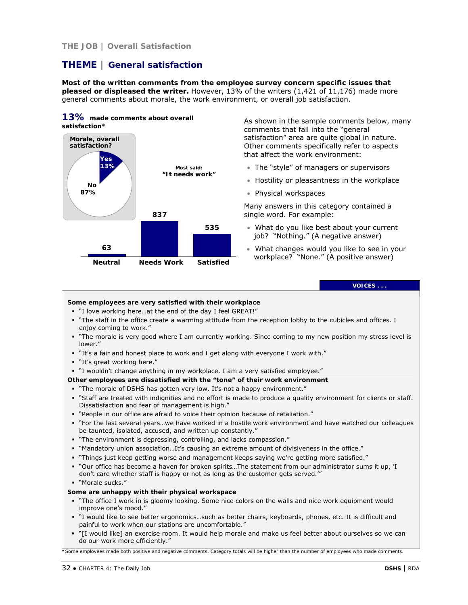# **THE JOB | Overall Satisfaction**

# **THEME | General satisfaction**

**Most of the written comments from the employee survey concern specific issues that pleased or displeased the writer.** However, 13% of the writers (1,421 of 11,176) made more general comments about morale, the work environment, or overall job satisfaction.

### **13% made comments about overall satisfaction\***



As shown in the sample comments below, many comments that fall into the "general satisfaction" area are quite global in nature. Other comments specifically refer to aspects that affect the work environment:

- The "style" of managers or supervisors
- Hostility or pleasantness in the workplace
- Physical workspaces

Many answers in this category contained a single word. For example:

- What do you like best about your current job? "Nothing." (A negative answer)
- What changes would you like to see in your workplace? "None." (A positive answer)

# **VOICES . . .**

### **Some employees are very satisfied with their workplace**

- "I love working here…at the end of the day I feel GREAT!"
- "The staff in the office create a warming attitude from the reception lobby to the cubicles and offices. I enjoy coming to work."
- " "The morale is very good where I am currently working. Since coming to my new position my stress level is lower."
- "It's a fair and honest place to work and I get along with everyone I work with."
- "It's great working here."
- "I wouldn't change anything in my workplace. I am a very satisfied employee."

#### **Other employees are dissatisfied with the "tone" of their work environment**

- "The morale of DSHS has gotten very low. It's not a happy environment."
- "Staff are treated with indignities and no effort is made to produce a quality environment for clients or staff. Dissatisfaction and fear of management is high."
- "People in our office are afraid to voice their opinion because of retaliation."
- "For the last several years…we have worked in a hostile work environment and have watched our colleagues be taunted, isolated, accused, and written up constantly."
- "The environment is depressing, controlling, and lacks compassion."
- "Mandatory union association…It's causing an extreme amount of divisiveness in the office."
- "Things just keep getting worse and management keeps saying we're getting more satisfied."
- "Our office has become a haven for broken spirits…The statement from our administrator sums it up, 'I don't care whether staff is happy or not as long as the customer gets served.'"
- "Morale sucks."

### **Some are unhappy with their physical workspace**

- "The office I work in is gloomy looking. Some nice colors on the walls and nice work equipment would improve one's mood."
- "I would like to see better ergonomics…such as better chairs, keyboards, phones, etc. It is difficult and painful to work when our stations are uncomfortable."
- "[I would like] an exercise room. It would help morale and make us feel better about ourselves so we can do our work more efficiently."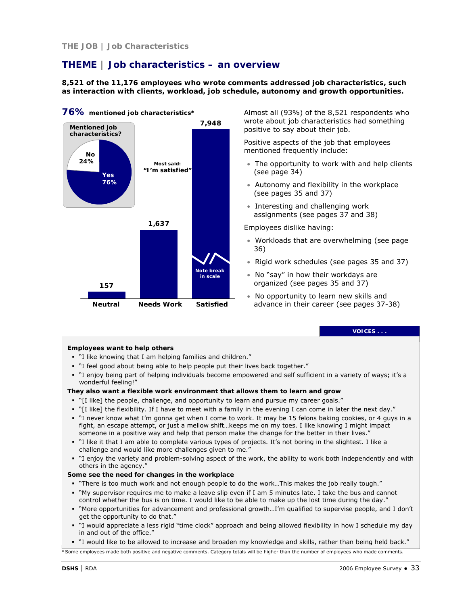# **THE JOB | Job Characteristics**

# **THEME | Job characteristics – an overview**

**8,521 of the 11,176 employees who wrote comments addressed job characteristics, such as interaction with clients, workload, job schedule, autonomy and growth opportunities.**



**76% mentioned job characteristics\***

Almost all (93%) of the 8,521 respondents who wrote about job characteristics had something positive to say about their job.

Positive aspects of the job that employees mentioned frequently include:

- The opportunity to work with and help clients (see page 34)
- Autonomy and flexibility in the workplace (see pages 35 and 37)
- Interesting and challenging work assignments (see pages 37 and 38)

Employees dislike having:

- Workloads that are overwhelming (see page 36)
- Rigid work schedules (see pages 35 and 37)
- No "say" in how their workdays are organized (see pages 35 and 37)
- No opportunity to learn new skills and advance in their career (see pages 37-38)

#### **VOICES . . .**

### **Employees want to help others**

- "I like knowing that I am helping families and children."
- "I feel good about being able to help people put their lives back together."
- "I enjoy being part of helping individuals become empowered and self sufficient in a variety of ways; it's a wonderful feeling!"

### **They also want a flexible work environment that allows them to learn and grow**

- "[I like] the people, challenge, and opportunity to learn and pursue my career goals."
- "[I like] the flexibility. If I have to meet with a family in the evening I can come in later the next day."
- "I never know what I'm gonna get when I come to work. It may be 15 felons baking cookies, or 4 guys in a fight, an escape attempt, or just a mellow shift…keeps me on my toes. I like knowing I might impact someone in a positive way and help that person make the change for the better in their lives."
- "I like it that I am able to complete various types of projects. It's not boring in the slightest. I like a challenge and would like more challenges given to me."
- "I enjoy the variety and problem-solving aspect of the work, the ability to work both independently and with others in the agency."

### **Some see the need for changes in the workplace**

- " "There is too much work and not enough people to do the work...This makes the job really tough."
- "My supervisor requires me to make a leave slip even if I am 5 minutes late. I take the bus and cannot control whether the bus is on time. I would like to be able to make up the lost time during the day."
- "More opportunities for advancement and professional growth…I'm qualified to supervise people, and I don't get the opportunity to do that."
- "I would appreciate a less rigid "time clock" approach and being allowed flexibility in how I schedule my day in and out of the office."

"I would like to be allowed to increase and broaden my knowledge and skills, rather than being held back."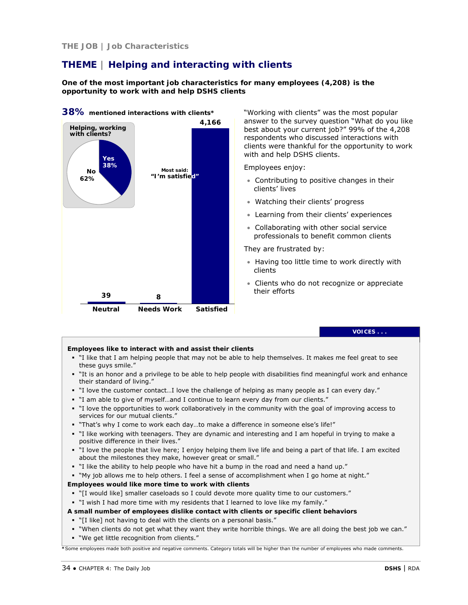### **THE JOB | Job Characteristics**

# **THEME | Helping and interacting with clients**

**One of the most important job characteristics for many employees (4,208) is the opportunity to work with and help DSHS clients**



"Working with clients" was the most popular answer to the survey question "What do you like best about your current job?" 99% of the 4,208 respondents who discussed interactions with clients were thankful for the opportunity to work with and help DSHS clients.

Employees enjoy:

- Contributing to positive changes in their clients' lives
- Watching their clients' progress
- Learning from their clients' experiences
- Collaborating with other social service professionals to benefit common clients

They are frustrated by:

- Having too little time to work directly with clients
- Clients who do not recognize or appreciate their efforts

### **VOICES . . .**

#### **Employees like to interact with and assist their clients**

- "I like that I am helping people that may not be able to help themselves. It makes me feel great to see these guys smile."
- "It is an honor and a privilege to be able to help people with disabilities find meaningful work and enhance their standard of living."
- "I love the customer contact…I love the challenge of helping as many people as I can every day."
- "I am able to give of myself…and I continue to learn every day from our clients."
- "I love the opportunities to work collaboratively in the community with the goal of improving access to services for our mutual clients."
- " "That's why I come to work each day...to make a difference in someone else's life!"
- "I like working with teenagers. They are dynamic and interesting and I am hopeful in trying to make a positive difference in their lives."
- "I love the people that live here; I enjoy helping them live life and being a part of that life. I am excited about the milestones they make, however great or small."
- "I like the ability to help people who have hit a bump in the road and need a hand up."
- "My job allows me to help others. I feel a sense of accomplishment when I go home at night."

### **Employees would like** *more* **time to work with clients**

- "[I would like] smaller caseloads so I could devote more quality time to our customers."
- "I wish I had more time with my residents that I learned to love like my family."

### **A small number of employees dislike contact with clients or specific client behaviors**

- "[I like] not having to deal with the clients on a personal basis."
- "When clients do not get what they want they write horrible things. We are all doing the best job we can."
- "We get little recognition from clients."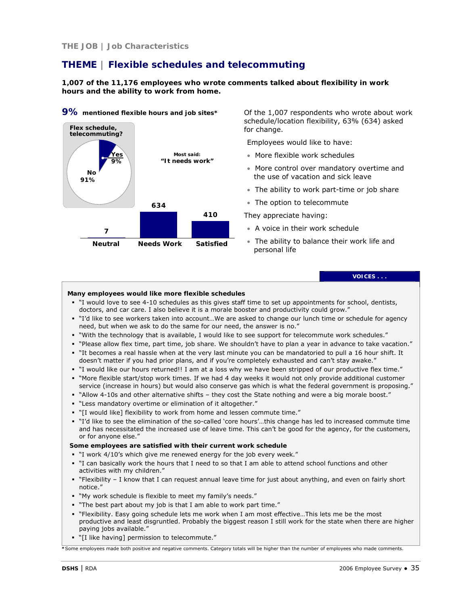# **THEME | Flexible schedules and telecommuting**

**1,007 of the 11,176 employees who wrote comments talked about flexibility in work hours and the ability to work from home.**



**9% mentioned flexible hours and job sites\***

Of the 1,007 respondents who wrote about work schedule/location flexibility, 63% (634) asked for change.

Employees would like to have:

- More flexible work schedules
- More control over mandatory overtime and the use of vacation and sick leave
- The ability to work part-time or job share
- The option to telecommute

They appreciate having:

- A voice in their work schedule
- The ability to balance their work life and personal life

**VOICES . . .** 

### **Many employees would like more flexible schedules**

- "I would love to see 4-10 schedules as this gives staff time to set up appointments for school, dentists, doctors, and car care. I also believe it is a morale booster and productivity could grow."
- "I'd like to see workers taken into account…We are asked to change our lunch time or schedule for agency need, but when we ask to do the same for our need, the answer is no."
- "With the technology that is available, I would like to see support for telecommute work schedules."
- "Please allow flex time, part time, job share. We shouldn't have to plan a year in advance to take vacation."
- "It becomes a real hassle when at the very last minute you can be mandatoried to pull a 16 hour shift. It doesn't matter if you had prior plans, and if you're completely exhausted and can't stay awake."
- "I would like our hours returned!! I am at a loss why we have been stripped of our productive flex time."
- "More flexible start/stop work times. If we had 4 day weeks it would not only provide additional customer service (increase in hours) but would also conserve gas which is what the federal government is proposing."
- "Allow 4-10s and other alternative shifts they cost the State nothing and were a big morale boost."
- "Less mandatory overtime or elimination of it altogether."
- "[I would like] flexibility to work from home and lessen commute time."
- "I'd like to see the elimination of the so-called 'core hours'…this change has led to increased commute time and has necessitated the increased use of leave time. This can't be good for the agency, for the customers, or for anyone else."

#### **Some employees are satisfied with their current work schedule**

- "I work 4/10's which give me renewed energy for the job every week."
- "I can basically work the hours that I need to so that I am able to attend school functions and other activities with my children."
- "Flexibility I know that I can request annual leave time for just about anything, and even on fairly short notice."
- "My work schedule is flexible to meet my family's needs."
- "The best part about my job is that I am able to work part time."
- "Flexibility. Easy going schedule lets me work when I am most effective…This lets me be the most productive and least disgruntled. Probably the biggest reason I still work for the state when there are higher paying jobs available."
- "[I like having] permission to telecommute."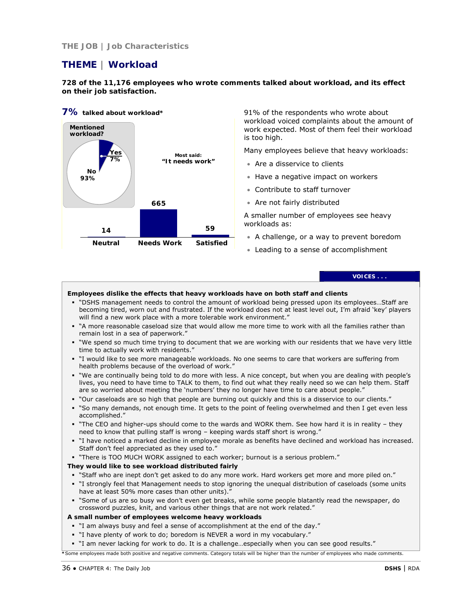# **THE JOB | Job Characteristics**

# **THEME | Workload**

**728 of the 11,176 employees who wrote comments talked about workload, and its effect on their job satisfaction.**

# **7% talked about workload\***



91% of the respondents who wrote about workload voiced complaints about the amount of work expected. Most of them feel their workload is too high.

Many employees believe that heavy workloads:

- Are a disservice to clients
- Have a negative impact on workers
- Contribute to staff turnover
- Are not fairly distributed

A smaller number of employees see heavy workloads as:

- A challenge, or a way to prevent boredom
- Leading to a sense of accomplishment

### **VOICES . . .**

### **Employees dislike the effects that heavy workloads have on both staff and clients**

- "DSHS management needs to control the amount of workload being pressed upon its employees…Staff are becoming tired, worn out and frustrated. If the workload does not at least level out, I'm afraid 'key' players will find a new work place with a more tolerable work environment."
- "A more reasonable caseload size that would allow me more time to work with all the families rather than remain lost in a sea of paperwork."
- "We spend so much time trying to document that we are working with our residents that we have very little time to actually work with residents."
- "I would like to see more manageable workloads. No one seems to care that workers are suffering from health problems because of the overload of work."
- "We are continually being told to do more with less. A nice concept, but when you are dealing with people's lives, you need to have time to TALK to them, to find out what they really need so we can help them. Staff are so worried about meeting the 'numbers' they no longer have time to care about people."
- "Our caseloads are so high that people are burning out quickly and this is a disservice to our clients."
- "So many demands, not enough time. It gets to the point of feeling overwhelmed and then I get even less accomplished."
- " "The CEO and higher-ups should come to the wards and WORK them. See how hard it is in reality they need to know that pulling staff is wrong – keeping wards staff short is wrong."
- "I have noticed a marked decline in employee morale as benefits have declined and workload has increased. Staff don't feel appreciated as they used to."
- "There is TOO MUCH WORK assigned to each worker; burnout is a serious problem."

### **They would like to see workload distributed fairly**

- "Staff who are inept don't get asked to do any more work. Hard workers get more and more piled on."
- "I strongly feel that Management needs to stop ignoring the unequal distribution of caseloads (some units have at least 50% more cases than other units).
- "Some of us are so busy we don't even get breaks, while some people blatantly read the newspaper, do crossword puzzles, knit, and various other things that are not work related."

### **A small number of employees welcome heavy workloads**

- "I am always busy and feel a sense of accomplishment at the end of the day."
- "I have plenty of work to do; boredom is NEVER a word in my vocabulary."
- "I am never lacking for work to do. It is a challenge…especially when you can see good results."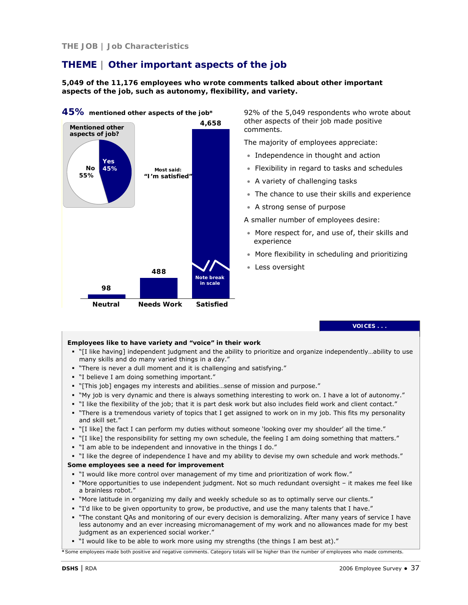# **THE JOB | Job Characteristics**

# **THEME | Other important aspects of the job**

**5,049 of the 11,176 employees who wrote comments talked about other important aspects of the job, such as autonomy, flexibility, and variety.** 



92% of the 5,049 respondents who wrote about other aspects of their job made positive comments.

The majority of employees appreciate:

- Independence in thought and action
- Flexibility in regard to tasks and schedules
- A variety of challenging tasks
- The chance to use their skills and experience
- A strong sense of purpose

A smaller number of employees desire:

- More respect for, and use of, their skills and experience
- More flexibility in scheduling and prioritizing
- Less oversight

**VOICES . . .** 

### **Employees like to have variety and "voice" in their work**

- "[I like having] independent judgment and the ability to prioritize and organize independently…ability to use many skills and do many varied things in a day."
- "There is never a dull moment and it is challenging and satisfying."
- "I believe I am doing something important."
- "[This job] engages my interests and abilities…sense of mission and purpose."
- "My job is very dynamic and there is always something interesting to work on. I have a lot of autonomy."
- "I like the flexibility of the job; that it is part desk work but also includes field work and client contact."
- " "There is a tremendous variety of topics that I get assigned to work on in my job. This fits my personality and skill set."
- "[I like] the fact I can perform my duties without someone 'looking over my shoulder' all the time."
- "[I like] the responsibility for setting my own schedule, the feeling I am doing something that matters."
- "I am able to be independent and innovative in the things I do."
- "I like the degree of independence I have and my ability to devise my own schedule and work methods."

### **Some employees see a need for improvement**

- "I would like more control over management of my time and prioritization of work flow."
- "More opportunities to use independent judgment. Not so much redundant oversight it makes me feel like a brainless robot."
- "More latitude in organizing my daily and weekly schedule so as to optimally serve our clients."
- "I'd like to be given opportunity to grow, be productive, and use the many talents that I have."
- " "The constant QAs and monitoring of our every decision is demoralizing. After many years of service I have less autonomy and an ever increasing micromanagement of my work and no allowances made for my best judgment as an experienced social worker."
- "I would like to be able to work more using my strengths (the things I am best at)."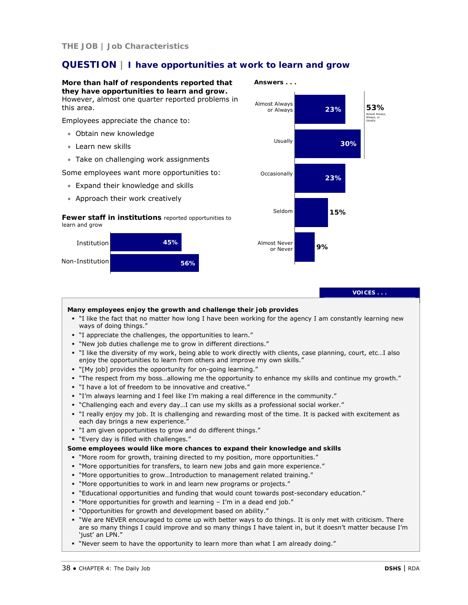# **QUESTION | I have opportunities at work to learn and grow**



"Never seem to have the opportunity to learn more than what I am already doing."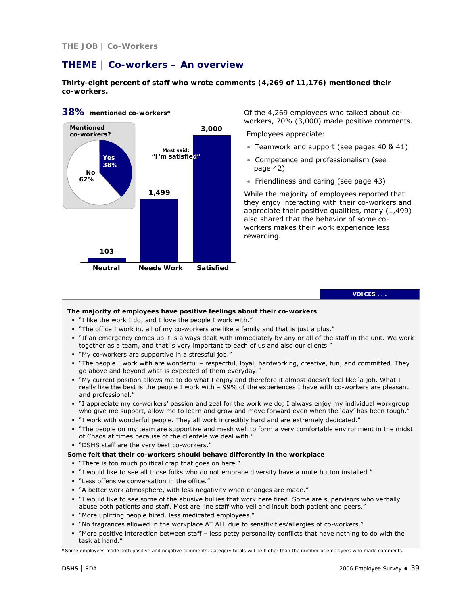# **THEME | Co-workers – An overview**

**Thirty-eight percent of staff who wrote comments (4,269 of 11,176) mentioned their co-workers.** 



**38% mentioned co-workers\*** 

Of the 4,269 employees who talked about coworkers, 70% (3,000) made positive comments.

Employees appreciate:

- Teamwork and support (see pages 40 & 41)
- Competence and professionalism (see page 42)
- Friendliness and caring (see page 43)

While the majority of employees reported that they enjoy interacting with their co-workers and appreciate their positive qualities, many (1,499) also shared that the behavior of some coworkers makes their work experience less rewarding.

#### **VOICES . . .**

### **The majority of employees have positive feelings about their co-workers**

- "I like the work I do, and I love the people I work with."
- "The office I work in, all of my co-workers are like a family and that is just a plus."
- "If an emergency comes up it is always dealt with immediately by any or all of the staff in the unit. We work together as a team, and that is very important to each of us and also our clients."
- "My co-workers are supportive in a stressful job."
- "The people I work with are wonderful respectful, loyal, hardworking, creative, fun, and committed. They go above and beyond what is expected of them everyday."
- "My current position allows me to do what I enjoy and therefore it almost doesn't feel like 'a job. What I really like the best is the people I work with – 99% of the experiences I have with co-workers are pleasant and professional."
- "I appreciate my co-workers' passion and zeal for the work we do; I always enjoy my individual workgroup who give me support, allow me to learn and grow and move forward even when the 'day' has been tough.'
- "I work with wonderful people. They all work incredibly hard and are extremely dedicated."
- "The people on my team are supportive and mesh well to form a very comfortable environment in the midst of Chaos at times because of the clientele we deal with."
- "DSHS staff are the very best co-workers."

### **Some felt that their co-workers should behave differently in the workplace**

- "There is too much political crap that goes on here."
- "I would like to see all those folks who do not embrace diversity have a mute button installed."
- "Less offensive conversation in the office."
- "A better work atmosphere, with less negativity when changes are made."
- " I would like to see some of the abusive bullies that work here fired. Some are supervisors who verbally abuse both patients and staff. Most are line staff who yell and insult both patient and peers."
- "More uplifting people hired, less medicated employees."
- "No fragrances allowed in the workplace AT ALL due to sensitivities/allergies of co-workers."
- "More positive interaction between staff less petty personality conflicts that have nothing to do with the task at hand."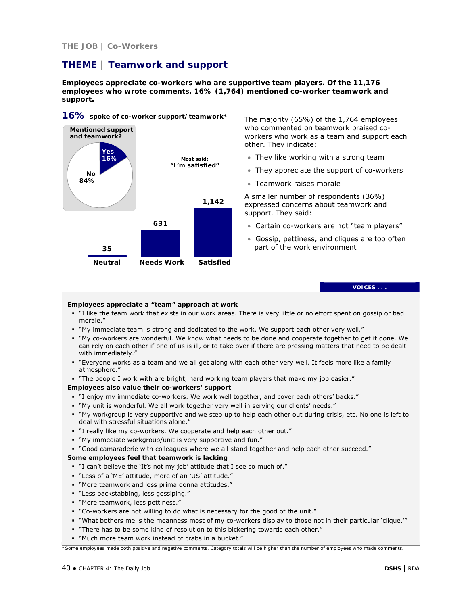### **THE JOB | Co-Workers**

# **THEME | Teamwork and support**

**Employees appreciate co-workers who are supportive team players. Of the 11,176 employees who wrote comments, 16% (1,764) mentioned co-worker teamwork and support.** 



The majority (65%) of the 1,764 employees who commented on teamwork praised coworkers who work as a team and support each other. They indicate:

- They like working with a strong team
- They appreciate the support of co-workers
- Teamwork raises morale

A smaller number of respondents (36%) expressed concerns about teamwork and support. They said:

- Certain co-workers are not "team players"
- Gossip, pettiness, and cliques are too often part of the work environment

**VOICES . . .** 

#### **Employees appreciate a "team" approach at work**

- "I like the team work that exists in our work areas. There is very little or no effort spent on gossip or bad morale."
- "My immediate team is strong and dedicated to the work. We support each other very well."
- "My co-workers are wonderful. We know what needs to be done and cooperate together to get it done. We can rely on each other if one of us is ill, or to take over if there are pressing matters that need to be dealt with immediately."
- " "Everyone works as a team and we all get along with each other very well. It feels more like a family atmosphere."
- "The people I work with are bright, hard working team players that make my job easier."

#### **Employees also value their co-workers' support**

- "I enjoy my immediate co-workers. We work well together, and cover each others' backs."
- "My unit is wonderful. We all work together very well in serving our clients' needs."
- "My workgroup is very supportive and we step up to help each other out during crisis, etc. No one is left to deal with stressful situations alone."
- "I really like my co-workers. We cooperate and help each other out."
- "My immediate workgroup/unit is very supportive and fun."
- "Good camaraderie with colleagues where we all stand together and help each other succeed."

#### **Some employees feel that teamwork is lacking**

- "I can't believe the 'It's not my job' attitude that I see so much of."
- "Less of a 'ME' attitude, more of an 'US' attitude."
- "More teamwork and less prima donna attitudes."
- "Less backstabbing, less gossiping."
- "More teamwork, less pettiness."
- "Co-workers are not willing to do what is necessary for the good of the unit."
- "What bothers me is the meanness most of my co-workers display to those not in their particular 'clique.'"
- "There has to be some kind of resolution to this bickering towards each other."
- "Much more team work instead of crabs in a bucket."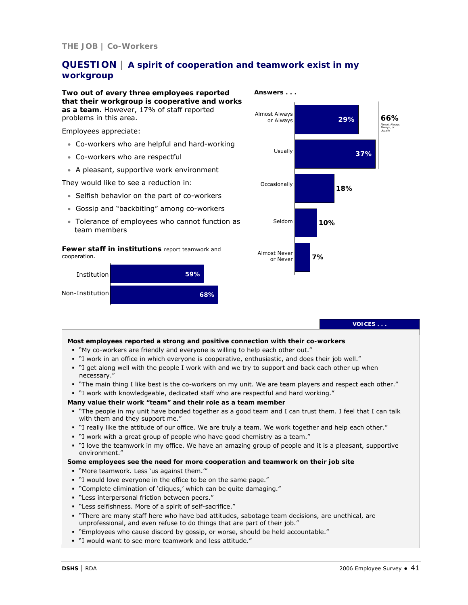# **QUESTION | A spirit of cooperation and teamwork exist in my workgroup**

**Two out of every three employees reported that their workgroup is cooperative and works as a team.** However, 17% of staff reported problems in this area.

Employees appreciate:

- Co-workers who are helpful and hard-working
- Co-workers who are respectful
- A pleasant, supportive work environment

They would like to see a reduction in:

- Selfish behavior on the part of co-workers
- Gossip and "backbiting" among co-workers
- Tolerance of employees who cannot function as team members

*Fewer staff in institutions* report teamwork and cooperation.





**VOICES . . .** 

### **Most employees reported a strong and positive connection with their co-workers**

- "My co-workers are friendly and everyone is willing to help each other out."
- "I work in an office in which everyone is cooperative, enthusiastic, and does their job well."
- "I get along well with the people I work with and we try to support and back each other up when necessary."
- "The main thing I like best is the co-workers on my unit. We are team players and respect each other."
- "I work with knowledgeable, dedicated staff who are respectful and hard working."

#### **Many value their work "team" and their role as a team member**

- "The people in my unit have bonded together as a good team and I can trust them. I feel that I can talk with them and they support me."
- "I really like the attitude of our office. We are truly a team. We work together and help each other."
- "I work with a great group of people who have good chemistry as a team."
- "I love the teamwork in my office. We have an amazing group of people and it is a pleasant, supportive environment."

### **Some employees see the need for** *more* **cooperation and teamwork on their job site**

- "More teamwork. Less 'us against them.'"
- "I would love everyone in the office to be on the same page."
- "Complete elimination of 'cliques,' which can be quite damaging."
- "Less interpersonal friction between peers."
- "Less selfishness. More of a spirit of self-sacrifice."
- "There are many staff here who have bad attitudes, sabotage team decisions, are unethical, are unprofessional, and even refuse to do things that are part of their job."
- "Employees who cause discord by gossip, or worse, should be held accountable."
- "I would want to see more teamwork and less attitude."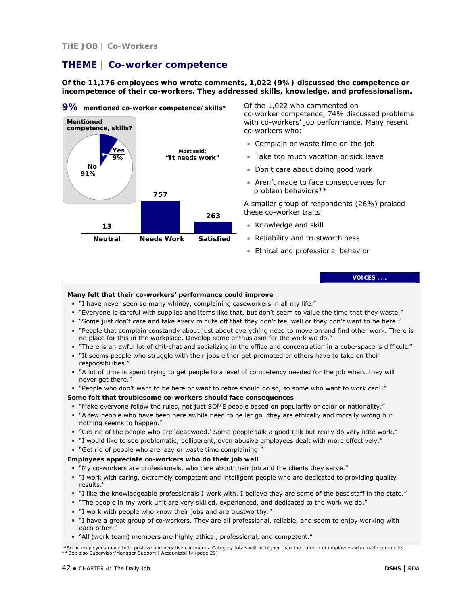# **THEME | Co-worker competence**

**Of the 11,176 employees who wrote comments, 1,022 (9%) discussed the competence or incompetence of their co-workers. They addressed skills, knowledge, and professionalism.** 



Of the 1,022 who commented on co-worker competence, 74% discussed problems with co-workers' job performance. Many resent co-workers who:

- Complain or waste time on the job
- Take too much vacation or sick leave
- Don't care about doing good work
- Aren't made to face consequences for problem behaviors\*\*

A smaller group of respondents (26%) praised these co-worker traits:

- Knowledge and skill
- Reliability and trustworthiness
- Ethical and professional behavior

# **VOICES . . .**

#### **Many felt that their co-workers' performance could improve**

- "I have never seen so many whiney, complaining caseworkers in all my life."
- "Everyone is careful with supplies and items like that, but don't seem to value the time that they waste."
- "Some just don't care and take every minute off that they don't feel well or they don't want to be here."
- "People that complain constantly about just about everything need to move on and find other work. There is no place for this in the workplace. Develop some enthusiasm for the work we do."
- "There is an awful lot of chit-chat and socializing in the office and concentration in a cube-space is difficult."
- "It seems people who struggle with their jobs either get promoted or others have to take on their responsibilities."
- "A lot of time is spent trying to get people to a level of competency needed for the job when…they will never get there."
- "People who don't want to be here or want to retire should do so, so some who want to work can!!"

#### **Some felt that troublesome co-workers should face consequences**

- "Make everyone follow the rules, not just SOME people based on popularity or color or nationality."
- "A few people who have been here awhile need to be let go…they are ethically and morally wrong but nothing seems to happen."
- "Get rid of the people who are 'deadwood.' Some people talk a good talk but really do very little work."
- "I would like to see problematic, belligerent, even abusive employees dealt with more effectively."
- "Get rid of people who are lazy or waste time complaining."

#### **Employees appreciate co-workers who do their job well**

- "My co-workers are professionals, who care about their job and the clients they serve."
- "I work with caring, extremely competent and intelligent people who are dedicated to providing quality results."
- "I like the knowledgeable professionals I work with. I believe they are some of the best staff in the state."
- "The people in my work unit are very skilled, experienced, and dedicated to the work we do."
- "I work with people who know their jobs and are trustworthy."
- "I have a great group of co-workers. They are all professional, reliable, and seem to enjoy working with each other."
- "All (work team) members are highly ethical, professional, and competent."

 **\***Some employees made both positive and negative comments. Category totals will be higher than the number of employees who made comments. **\*\***See also Supervisor/Manager Support | Accountability (page 22)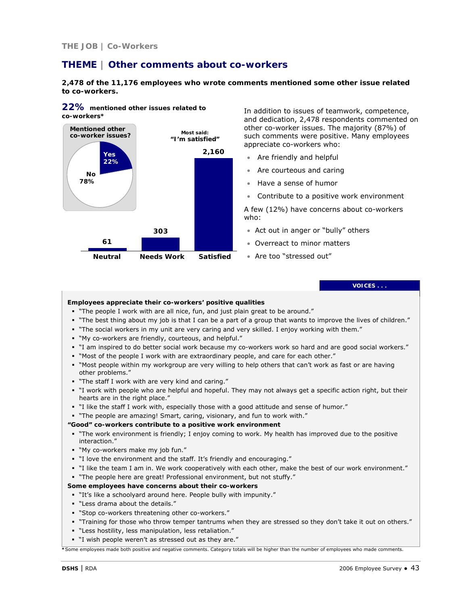# **THEME | Other comments about co-workers**

**2,478 of the 11,176 employees who wrote comments mentioned some other issue related to co-workers.** 



**22% mentioned other issues related to co-workers\*** 

In addition to issues of teamwork, competence, and dedication, 2,478 respondents commented on other co-worker issues. The majority (87%) of such comments were positive. Many employees appreciate co-workers who:

- Are friendly and helpful
- Are courteous and caring
- Have a sense of humor
- Contribute to a positive work environment

A few (12%) have concerns about co-workers who:

- Act out in anger or "bully" others
- Overreact to minor matters
- Are too "stressed out"

**VOICES . . .** 

#### **Employees appreciate their co-workers' positive qualities**

- "The people I work with are all nice, fun, and just plain great to be around."
- "The best thing about my job is that I can be a part of a group that wants to improve the lives of children."
- "The social workers in my unit are very caring and very skilled. I enjoy working with them."
- "My co-workers are friendly, courteous, and helpful."
- "I am inspired to do better social work because my co-workers work so hard and are good social workers."
- "Most of the people I work with are extraordinary people, and care for each other."
- "Most people within my workgroup are very willing to help others that can't work as fast or are having other problems."
- "The staff I work with are very kind and caring."
- "I work with people who are helpful and hopeful. They may not always get a specific action right, but their hearts are in the right place."
- "I like the staff I work with, especially those with a good attitude and sense of humor."
- "The people are amazing! Smart, caring, visionary, and fun to work with."

#### **"Good" co-workers contribute to a positive work environment**

- "The work environment is friendly; I enjoy coming to work. My health has improved due to the positive interaction."
- "My co-workers make my job fun."
- "I love the environment and the staff. It's friendly and encouraging."
- "I like the team I am in. We work cooperatively with each other, make the best of our work environment."
- "The people here are great! Professional environment, but not stuffy."

#### **Some employees have concerns about their co-workers**

- "It's like a schoolyard around here. People bully with impunity."
- "Less drama about the details."
- "Stop co-workers threatening other co-workers."
- "Training for those who throw temper tantrums when they are stressed so they don't take it out on others."
- "Less hostility, less manipulation, less retaliation."
- "I wish people weren't as stressed out as they are."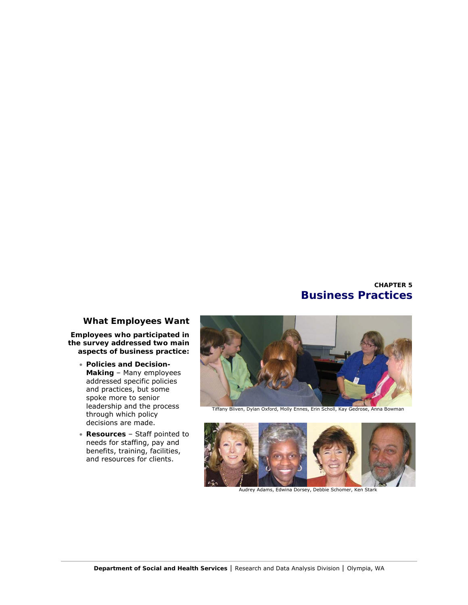# **CHAPTER 5 Business Practices**

# **What Employees Want**

**Employees who participated in the survey addressed two main aspects of business practice:**

- **Policies and Decision-Making** – Many employees addressed specific policies and practices, but some spoke more to senior leadership and the process through which policy decisions are made.
- **Resources**  Staff pointed to needs for staffing, pay and benefits, training, facilities, and resources for clients.



Tiffany Bliven, Dylan Oxford, Molly Ennes, Erin Scholl, Kay Gedrose, Anna Bowman



Audrey Adams, Edwina Dorsey, Debbie Schomer, Ken Stark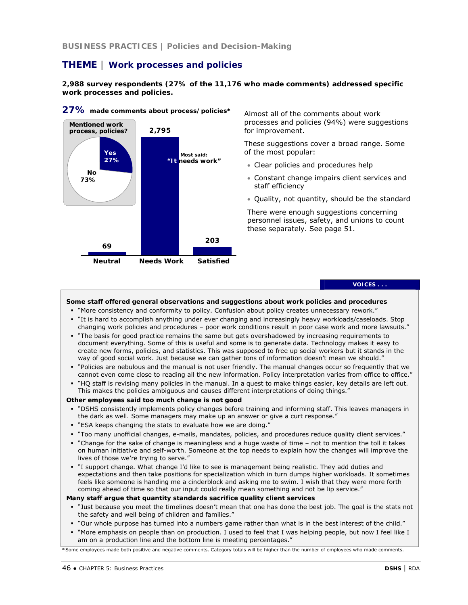**BUSINESS PRACTICES | Policies and Decision-Making**

# **THEME | Work processes and policies**

**2,988 survey respondents (27% of the 11,176 who made comments) addressed specific work processes and policies.** 



**27% made comments about process/policies\*** 

Almost all of the comments about work processes and policies (94%) were suggestions for improvement.

These suggestions cover a broad range. Some of the most popular:

- Clear policies and procedures help
- Constant change impairs client services and staff efficiency
- Quality, not quantity, should be the standard

There were enough suggestions concerning personnel issues, safety, and unions to count these separately. See page 51.

#### **VOICES . . .**

**Some staff offered general observations and suggestions about work policies and procedures** 

- "More consistency and conformity to policy. Confusion about policy creates unnecessary rework."
- "It is hard to accomplish anything under ever changing and increasingly heavy workloads/caseloads. Stop changing work policies and procedures – poor work conditions result in poor case work and more lawsuits."
- "The basis for good practice remains the same but gets overshadowed by increasing requirements to document everything. Some of this is useful and some is to generate data. Technology makes it easy to create new forms, policies, and statistics. This was supposed to free up social workers but it stands in the way of good social work. Just because we can gather tons of information doesn't mean we should."
- "Policies are nebulous and the manual is not user friendly. The manual changes occur so frequently that we cannot even come close to reading all the new information. Policy interpretation varies from office to office."
- "HQ staff is revising many policies in the manual. In a quest to make things easier, key details are left out. This makes the policies ambiguous and causes different interpretations of doing things."

### **Other employees said too much change is not good**

- "DSHS consistently implements policy changes before training and informing staff. This leaves managers in the dark as well. Some managers may make up an answer or give a curt response."
- "ESA keeps changing the stats to evaluate how we are doing."
- "Too many unofficial changes, e-mails, mandates, policies, and procedures reduce quality client services."
- "Change for the sake of change is meaningless and a huge waste of time not to mention the toll it takes on human initiative and self-worth. Someone at the top needs to explain how the changes will improve the lives of those we're trying to serve."
- "I support change. What change I'd like to see is management being realistic. They add duties and expectations and then take positions for specialization which in turn dumps higher workloads. It sometimes feels like someone is handing me a cinderblock and asking me to swim. I wish that they were more forth coming ahead of time so that our input could really mean something and not be lip service."

#### **Many staff argue that quantity standards sacrifice quality client services**

- " "Just because you meet the timelines doesn't mean that one has done the best job. The goal is the stats not the safety and well being of children and families."
- "Our whole purpose has turned into a numbers game rather than what is in the best interest of the child."
- "More emphasis on people than on production. I used to feel that I was helping people, but now I feel like I am on a production line and the bottom line is meeting percentages."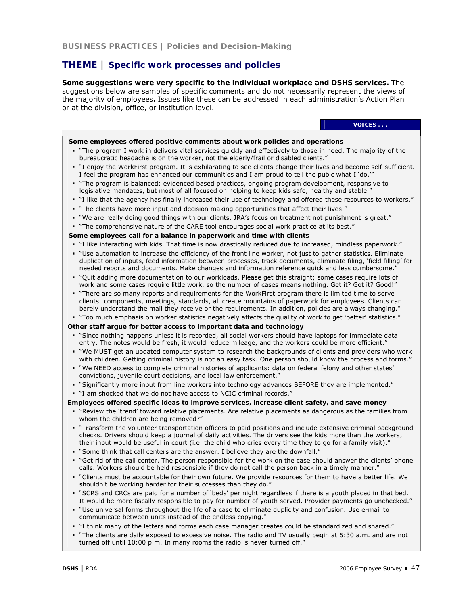# **THEME | Specific work processes and policies**

**Some suggestions were very specific to the individual workplace and DSHS services.** The suggestions below are samples of specific comments and do not necessarily represent the views of the majority of employees**.** Issues like these can be addressed in each administration's Action Plan or at the division, office, or institution level.

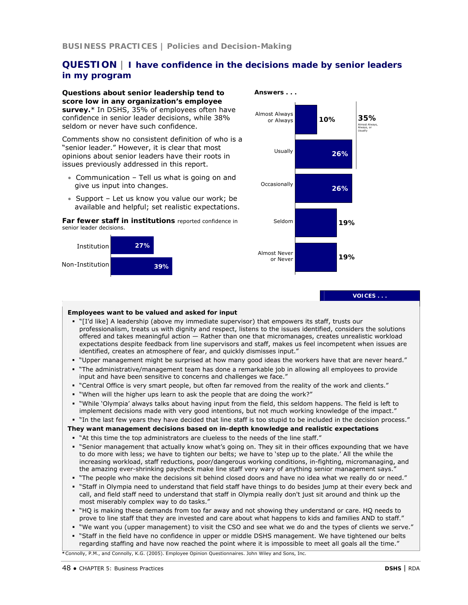# **QUESTION | I have confidence in the decisions made by senior leaders in my program**

**Questions about senior leadership tend to score low in any organization's employee survey.**\* In DSHS, 35% of employees often have confidence in senior leader decisions, while 38% seldom or never have such confidence.

Comments show no consistent definition of who is a "senior leader." However, it is clear that most opinions about senior leaders have their roots in issues previously addressed in this report.

- Communication Tell us what is going on and give us input into changes.
- Support Let us know you value our work; be available and helpful; set realistic expectations.

*Far fewer staff in institutions* reported confidence in senior leader decisions.





**VOICES . . .** 

### **Employees want to be valued and asked for input**

- "[I'd like] A leadership (above my immediate supervisor) that empowers its staff, trusts our professionalism, treats us with dignity and respect, listens to the issues identified, considers the solutions offered and takes meaningful action — Rather than one that micromanages, creates unrealistic workload expectations despite feedback from line supervisors and staff, makes us feel incompetent when issues are identified, creates an atmosphere of fear, and quickly dismisses input."
- "Upper management might be surprised at how many good ideas the workers have that are never heard."
- "The administrative/management team has done a remarkable job in allowing all employees to provide input and have been sensitive to concerns and challenges we face."
- "Central Office is very smart people, but often far removed from the reality of the work and clients."
- "When will the higher ups learn to ask the people that are doing the work?"
- "While 'Olympia' always talks about having input from the field, this seldom happens. The field is left to implement decisions made with very good intentions, but not much working knowledge of the impact."
- "In the last few years they have decided that line staff is too stupid to be included in the decision process."

**They want management decisions based on in-depth knowledge and realistic expectations** 

- "At this time the top administrators are clueless to the needs of the line staff."
- "Senior management that actually know what's going on. They sit in their offices expounding that we have to do more with less; we have to tighten our belts; we have to 'step up to the plate.' All the while the increasing workload, staff reductions, poor/dangerous working conditions, in-fighting, micromanaging, and the amazing ever-shrinking paycheck make line staff very wary of anything senior management says."
- " The people who make the decisions sit behind closed doors and have no idea what we really do or need."
- "Staff in Olympia need to understand that field staff have things to do besides jump at their every beck and call, and field staff need to understand that staff in Olympia really don't just sit around and think up the most miserably complex way to do tasks."
- "HQ is making these demands from too far away and not showing they understand or care. HQ needs to prove to line staff that they are invested and care about what happens to kids and families AND to staff."
- "We want you (upper management) to visit the CSO and see what we do and the types of clients we serve."
- "Staff in the field have no confidence in upper or middle DSHS management. We have tightened our belts regarding staffing and have now reached the point where it is impossible to meet all goals all the time."

**\***Connolly, P.M., and Connolly, K.G. (2005). *Employee Opinion Questionnaires*. John Wiley and Sons, Inc.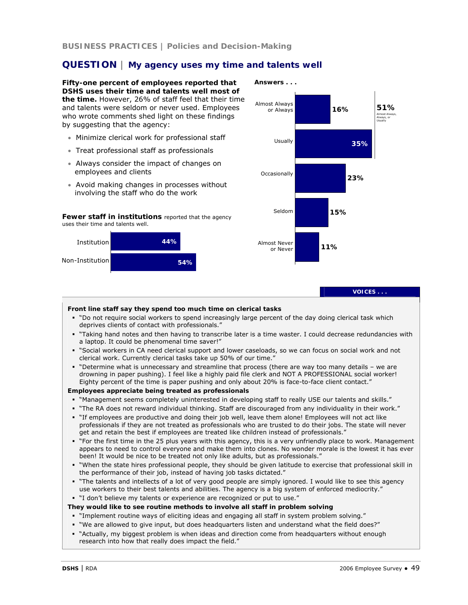**BUSINESS PRACTICES | Policies and Decision-Making**

# **QUESTION | My agency uses my time and talents well**

**Fifty-one percent of employees reported that DSHS uses their time and talents well most of the time.** However, 26% of staff feel that their time and talents were seldom or never used. Employees who wrote comments shed light on these findings by suggesting that the agency:

- Minimize clerical work for professional staff
- Treat professional staff as professionals
- Always consider the impact of changes on employees and clients
- Avoid making changes in processes without involving the staff who do the work

*Fewer staff in institutions* reported that the agency uses their time and talents well.





**VOICES . . .** 

#### **Front line staff say they spend too much time on clerical tasks**

- "Do not require social workers to spend increasingly large percent of the day doing clerical task which deprives clients of contact with professionals."
- "Taking hand notes and then having to transcribe later is a time waster. I could decrease redundancies with a laptop. It could be phenomenal time saver!"
- "Social workers in CA need clerical support and lower caseloads, so we can focus on social work and not clerical work. Currently clerical tasks take up 50% of our time."
- "Determine what is unnecessary and streamline that process (there are way too many details we are drowning in paper pushing). I feel like a highly paid file clerk and NOT A PROFESSIONAL social worker! Eighty percent of the time is paper pushing and only about 20% is face-to-face client contact."

### **Employees appreciate being treated as professionals**

- "Management seems completely uninterested in developing staff to really USE our talents and skills."
- "The RA does not reward individual thinking. Staff are discouraged from any individuality in their work."
- "If employees are productive and doing their job well, leave them alone! Employees will not act like professionals if they are not treated as professionals who are trusted to do their jobs. The state will never get and retain the best if employees are treated like children instead of professionals."
- "For the first time in the 25 plus years with this agency, this is a very unfriendly place to work. Management appears to need to control everyone and make them into clones. No wonder morale is the lowest it has ever been! It would be nice to be treated not only like adults, but as professionals."
- "When the state hires professional people, they should be given latitude to exercise that professional skill in the performance of their job, instead of having job tasks dictated."
- "The talents and intellects of a lot of very good people are simply ignored. I would like to see this agency use workers to their best talents and abilities. The agency is a big system of enforced mediocrity."
- "I don't believe my talents or experience are recognized or put to use."

#### **They would like to see routine methods to involve all staff in problem solving**

- "Implement routine ways of eliciting ideas and engaging all staff in system problem solving."
- "We are allowed to give input, but does headquarters listen and understand what the field does?"
- "Actually, my biggest problem is when ideas and direction come from headquarters without enough research into how that really does impact the field."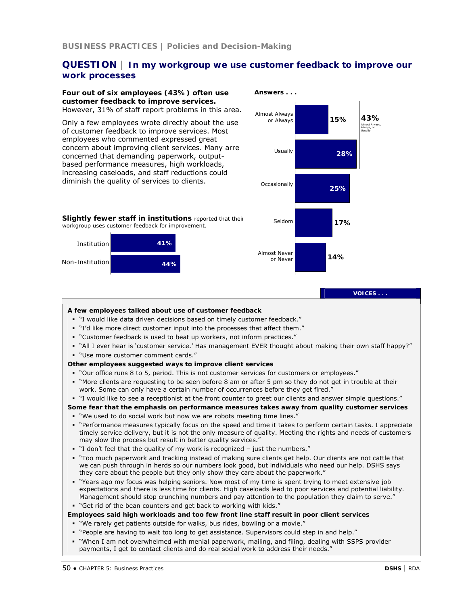# **QUESTION | In my workgroup we use customer feedback to improve our work processes**

### **Four out of six employees (43%) often use customer feedback to improve services.**  However, 31% of staff report problems in this area. Only a few employees wrote directly about the use of customer feedback to improve services. Most employees who commented expressed great concern about improving client services. Many arre concerned that demanding paperwork, outputbased performance measures, high workloads, increasing caseloads, and staff reductions could diminish the quality of services to clients. *Slightly fewer staff in institutions* reported that their workgroup uses customer feedback for improvement. **41% 44%** Institution Non-Institution  **Answers . . . 14%** Almost Always or Always Usually **Occasionally** Seldom Almost Never or Never **A few employees talked about use of customer feedback**  "I would like data driven decisions based on timely customer feedback." "I'd like more direct customer input into the processes that affect them." "Customer feedback is used to beat up workers, not inform practices."

- "All I ever hear is 'customer service.' Has management EVER thought about making their own staff happy?"
- "Use more customer comment cards."

#### **Other employees suggested ways to improve client services**

- "Our office runs 8 to 5, period. This is not customer services for customers or employees."
- "More clients are requesting to be seen before 8 am or after 5 pm so they do not get in trouble at their work. Some can only have a certain number of occurrences before they get fired."
- "I would like to see a receptionist at the front counter to greet our clients and answer simple questions."

#### **Some fear that the emphasis on performance measures takes away from quality customer services**

- "We used to do social work but now we are robots meeting time lines."
- "Performance measures typically focus on the speed and time it takes to perform certain tasks. I appreciate timely service delivery, but it is not the only measure of quality. Meeting the rights and needs of customers may slow the process but result in better quality services."
- "I don't feel that the quality of my work is recognized just the numbers."
- "Too much paperwork and tracking instead of making sure clients get help. Our clients are not cattle that we can push through in herds so our numbers look good, but individuals who need our help. DSHS says they care about the people but they only show they care about the paperwork."
- "Years ago my focus was helping seniors. Now most of my time is spent trying to meet extensive job expectations and there is less time for clients. High caseloads lead to poor services and potential liability. Management should stop crunching numbers and pay attention to the population they claim to serve." "Get rid of the bean counters and get back to working with kids."

**Employees said high workloads and too few front line staff result in poor client services** 

- "We rarely get patients outside for walks, bus rides, bowling or a movie."
- " "People are having to wait too long to get assistance. Supervisors could step in and help."
- "When I am not overwhelmed with menial paperwork, mailing, and filing, dealing with SSPS provider payments, I get to contact clients and do real social work to address their needs."



**VOICES . . .**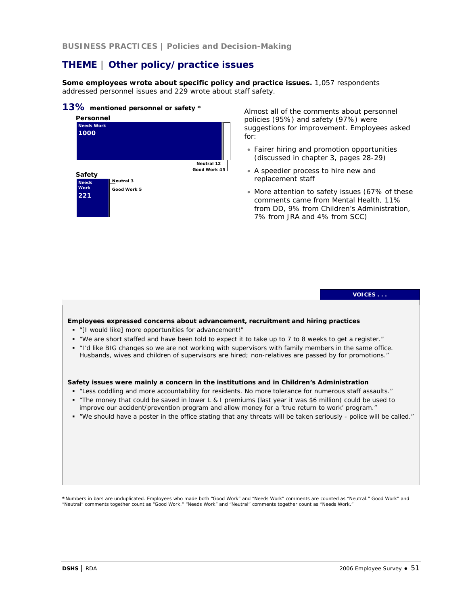**BUSINESS PRACTICES | Policies and Decision-Making**

# **THEME | Other policy/practice issues**

**Some employees wrote about specific policy and practice issues.** 1,057 respondents addressed personnel issues and 229 wrote about staff safety.

### **13% mentioned personnel or safety \***



Almost all of the comments about personnel policies (95%) and safety (97%) were suggestions for improvement. Employees asked for:

- Fairer hiring and promotion opportunities (discussed in chapter 3, pages 28-29)
- A speedier process to hire new and replacement staff
- More attention to safety issues (67% of these comments came from Mental Health, 11% from DD, 9% from Children's Administration, 7% from JRA and 4% from SCC)



\*Numbers in bars are unduplicated. Employees who made both "Good Work" and "Needs Work" comments are counted as "Neutral." Good Work" and<br>"Neutral" comments together count as "Good Work." "Needs Work" and "Neutral" comment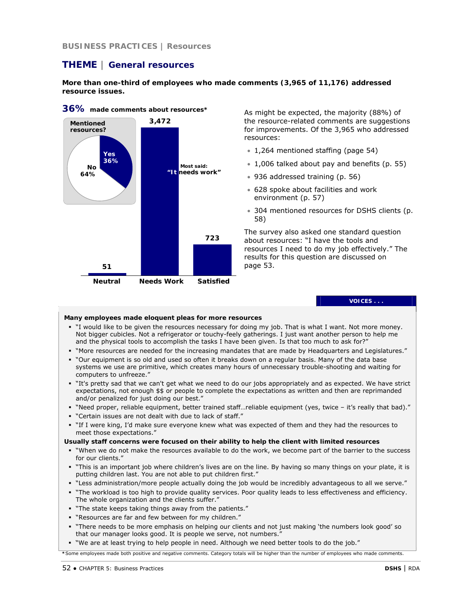**BUSINESS PRACTICES | Resources**

# **THEME | General resources**

**More than one-third of employees who made comments (3,965 of 11,176) addressed resource issues.**



**36% made comments about resources\*** 

As might be expected, the majority (88%) of the resource-related comments are suggestions for improvements. Of the 3,965 who addressed resources:

- 1,264 mentioned staffing (page 54)
- 1,006 talked about pay and benefits (p. 55)
- 936 addressed training (p. 56)
- 628 spoke about facilities and work environment (p. 57)
- 304 mentioned resources for DSHS clients (p. 58)

The survey also asked one standard question about resources: "I have the tools and resources I need to do my job effectively." The results for this question are discussed on page 53.

**VOICES . . .** 

#### **Many employees made eloquent pleas for more resources**

- "I would like to be given the resources necessary for doing my job. That is what I want. Not more money. Not bigger cubicles. Not a refrigerator or touchy-feely gatherings. I just want another person to help me and the physical tools to accomplish the tasks I have been given. Is that too much to ask for?"
- "More resources are needed for the increasing mandates that are made by Headquarters and Legislatures."
- "Our equipment is so old and used so often it breaks down on a regular basis. Many of the data base systems we use are primitive, which creates many hours of unnecessary trouble-shooting and waiting for computers to unfreeze."
- "It's pretty sad that we can't get what we need to do our jobs appropriately and as expected. We have strict expectations, not enough \$\$ or people to complete the expectations as written and then are reprimanded and/or penalized for just doing our best."
- "Need proper, reliable equipment, better trained staff…reliable equipment (yes, twice it's really that bad)."
- "Certain issues are not dealt with due to lack of staff."
- "If I were king, I'd make sure everyone knew what was expected of them and they had the resources to meet those expectations."

#### **Usually staff concerns were focused on their ability to help the client with limited resources**

- "When we do not make the resources available to do the work, we become part of the barrier to the success for our clients."
- "This is an important job where children's lives are on the line. By having so many things on your plate, it is putting children last. You are not able to put children first."
- "Less administration/more people actually doing the job would be incredibly advantageous to all we serve."
- "The workload is too high to provide quality services. Poor quality leads to less effectiveness and efficiency. The whole organization and the clients suffer."
- "The state keeps taking things away from the patients."
- "Resources are far and few between for my children."
- "There needs to be more emphasis on helping our clients and not just making 'the numbers look good' so that our manager looks good. It is people we serve, not numbers."
- "We are at least trying to help people in need. Although we need better tools to do the job."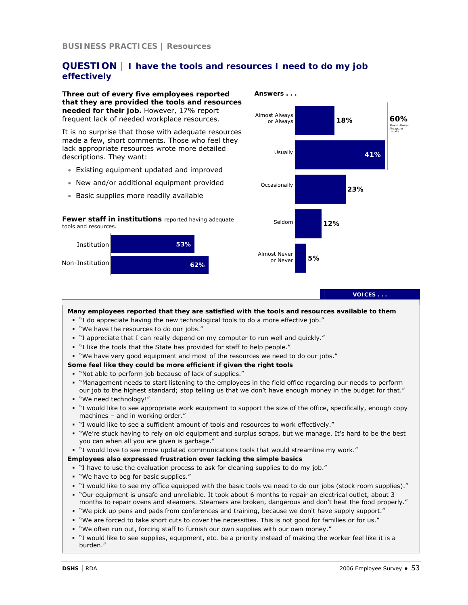# **QUESTION | I have the tools and resources I need to do my job effectively**

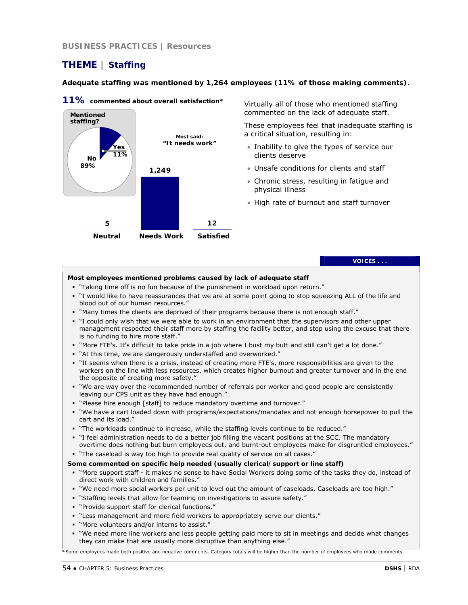# **THEME | Staffing**

### **Adequate staffing was mentioned by 1,264 employees (11% of those making comments).**



**11% commented about overall satisfaction\*** 

Virtually all of those who mentioned staffing commented on the lack of adequate staff.

These employees feel that inadequate staffing is a critical situation, resulting in:

- Inability to give the types of service our clients deserve
- Unsafe conditions for clients and staff
- Chronic stress, resulting in fatigue and physical illness
- High rate of burnout and staff turnover

**VOICES . . .** 

### **Most employees mentioned problems caused by lack of adequate staff**

- "Taking time off is no fun because of the punishment in workload upon return."
- "I would like to have reassurances that we are at some point going to stop squeezing ALL of the life and blood out of our human resources."
- " "Many times the clients are deprived of their programs because there is not enough staff."
- "I could only wish that we were able to work in an environment that the supervisors and other upper management respected their staff more by staffing the facility better, and stop using the excuse that there is no funding to hire more staff."
- "More FTE's. It's difficult to take pride in a job where I bust my butt and still can't get a lot done."
- "At this time, we are dangerously understaffed and overworked."
- "It seems when there is a crisis, instead of creating more FTE's, more responsibilities are given to the workers on the line with less resources, which creates higher burnout and greater turnover and in the end the opposite of creating more safety."
- "We are way over the recommended number of referrals per worker and good people are consistently leaving our CPS unit as they have had enough."
- "Please hire enough [staff] to reduce mandatory overtime and turnover."
- "We have a cart loaded down with programs/expectations/mandates and not enough horsepower to pull the cart and its load."
- "The workloads continue to increase, while the staffing levels continue to be reduced."
- "I feel administration needs to do a better job filling the vacant positions at the SCC. The mandatory overtime does nothing but burn employees out, and burnt-out employees make for disgruntled employees."
- " The caseload is way too high to provide real quality of service on all cases."

#### **Some commented on specific help needed (usually clerical/support or line staff)**

- "More support staff it makes no sense to have Social Workers doing some of the tasks they do, instead of direct work with children and families."
- "We need more social workers per unit to level out the amount of caseloads. Caseloads are too high."
- "Staffing levels that allow for teaming on investigations to assure safety."
- "Provide support staff for clerical functions."
- "Less management and more field workers to appropriately serve our clients."
- "More volunteers and/or interns to assist."
- "We need more line workers and less people getting paid more to sit in meetings and decide what changes they can make that are usually more disruptive than anything else."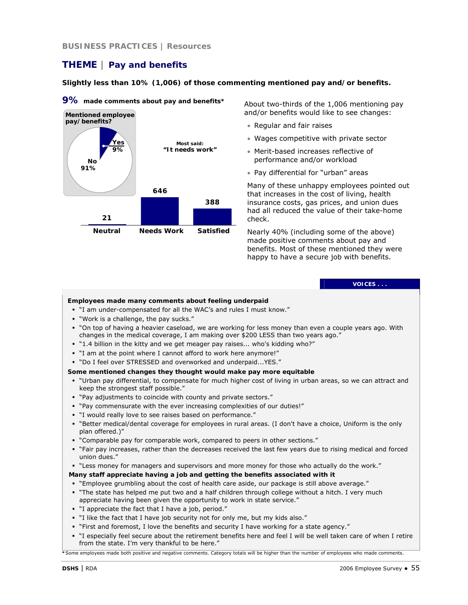# **THEME | Pay and benefits**

**Slightly less than 10% (1,006) of those commenting mentioned pay and/or benefits.** 



**9% made comments about pay and benefits\*** 

About two-thirds of the 1,006 mentioning pay and/or benefits would like to see changes:

- Regular and fair raises
- Wages competitive with private sector
- Merit-based increases reflective of performance and/or workload
- Pay differential for "urban" areas

Many of these unhappy employees pointed out that increases in the cost of living, health insurance costs, gas prices, and union dues had all reduced the value of their take-home check.

Nearly 40% (including some of the above) made positive comments about pay and benefits. Most of these mentioned they were happy to have a secure job with benefits.

#### **VOICES . . .**

### **Employees made many comments about feeling underpaid**

- "I am under-compensated for all the WAC's and rules I must know."
- "Work is a challenge, the pay sucks."
- "On top of having a heavier caseload, we are working for less money than even a couple years ago. With changes in the medical coverage, I am making over \$200 LESS than two years ago."
- " 1.4 billion in the kitty and we get meager pay raises... who's kidding who?"
- "I am at the point where I cannot afford to work here anymore!"
- "Do I feel over STRESSED and overworked and underpaid...YES."

### **Some mentioned changes they thought would make pay more equitable**

- "Urban pay differential, to compensate for much higher cost of living in urban areas, so we can attract and keep the strongest staff possible."
- "Pay adjustments to coincide with county and private sectors."
- "Pay commensurate with the ever increasing complexities of our duties!"
- "I would really love to see raises based on performance."
- "Better medical/dental coverage for employees in rural areas. (I don't have a choice, Uniform is the only plan offered.)"
- "Comparable pay for comparable work, compared to peers in other sections."
- "Fair pay increases, rather than the decreases received the last few years due to rising medical and forced union dues."
- "Less money for managers and supervisors and more money for those who actually do the work."

### **Many staff appreciate having a job and getting the benefits associated with it**

- "Employee grumbling about the cost of health care aside, our package is still above average."
- "The state has helped me put two and a half children through college without a hitch. I very much appreciate having been given the opportunity to work in state service."
- "I appreciate the fact that I have a job, period."
- "I like the fact that I have job security not for only me, but my kids also."
- "First and foremost, I love the benefits and security I have working for a state agency."
- "I especially feel secure about the retirement benefits here and feel I will be well taken care of when I retire from the state. I'm very thankful to be here."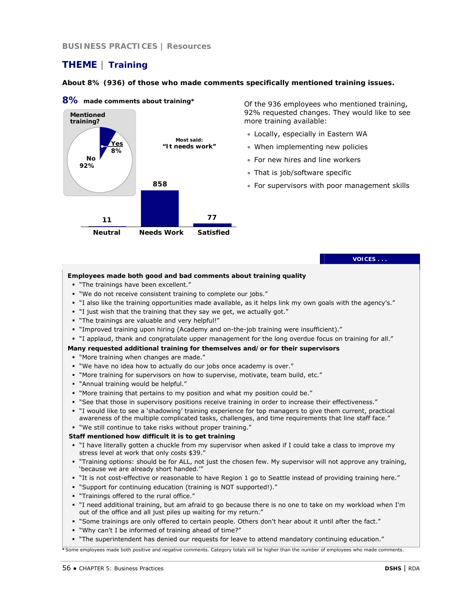### **BUSINESS PRACTICES | Resources**

# **THEME | Training**

### **About 8% (936) of those who made comments specifically mentioned training issues.**



### **8% made comments about training\***

Of the 936 employees who mentioned training, 92% requested changes. They would like to see more training available:

- Locally, especially in Eastern WA
- When implementing new policies
- For new hires and line workers
- That is job/software specific
- For supervisors with poor management skills

#### **VOICES . . .**

### **Employees made both good and bad comments about training quality**

- "The trainings have been excellent."
- "We do not receive consistent training to complete our jobs."
- "I also like the training opportunities made available, as it helps link my own goals with the agency's."
- "I just wish that the training that they say we get, we actually got."
- "The trainings are valuable and very helpful!"
- "Improved training upon hiring (Academy and on-the-job training were insufficient)."
- "I applaud, thank and congratulate upper management for the long overdue focus on training for all."

### **Many requested additional training for themselves and/or for their supervisors**

- "More training when changes are made."
- "We have no idea how to actually do our jobs once academy is over."
- "More training for supervisors on how to supervise, motivate, team build, etc."
- "Annual training would be helpful."
- "More training that pertains to my position and what my position could be."
- "See that those in supervisory positions receive training in order to increase their effectiveness."
- "I would like to see a 'shadowing' training experience for top managers to give them current, practical awareness of the multiple complicated tasks, challenges, and time requirements that line staff face."

### "We still continue to take risks without proper training."

#### **Staff mentioned how difficult it is to get training**

- "I have literally gotten a chuckle from my supervisor when asked if I could take a class to improve my stress level at work that only costs \$39."
- "Training options: should be for ALL, not just the chosen few. My supervisor will not approve any training, 'because we are already short handed.'"
- "It is not cost-effective or reasonable to have Region 1 go to Seattle instead of providing training here."
- "Support for continuing education (training is NOT supported!)."
- "Trainings offered to the rural office."
- "I need additional training, but am afraid to go because there is no one to take on my workload when I'm out of the office and all just piles up waiting for my return."
- "Some trainings are only offered to certain people. Others don't hear about it until after the fact."
- "Why can't I be informed of training ahead of time?"
- "The superintendent has denied our requests for leave to attend mandatory continuing education."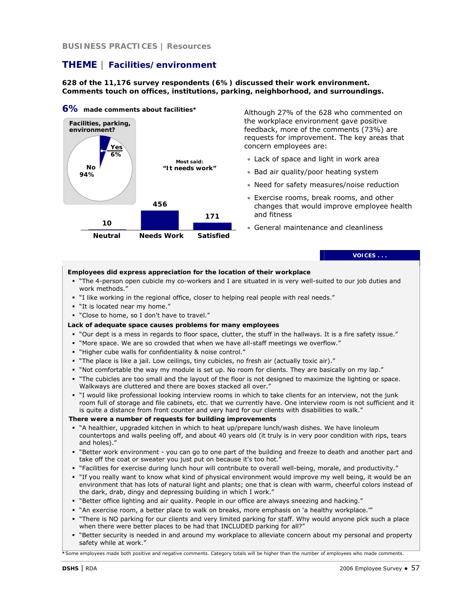**BUSINESS PRACTICES | Resources**

# **THEME | Facilities/environment**

**628 of the 11,176 survey respondents (6%) discussed their work environment. Comments touch on offices, institutions, parking, neighborhood, and surroundings.**



Although 27% of the 628 who commented on the workplace environment gave positive feedback, more of the comments (73%) are requests for improvement. The key areas that concern employees are:

- Lack of space and light in work area
- Bad air quality/poor heating system
- Need for safety measures/noise reduction
- Exercise rooms, break rooms, and other changes that would improve employee health and fitness
- General maintenance and cleanliness

### **VOICES . . .**

#### **Employees did express appreciation for the location of their workplace**

- "The 4-person open cubicle my co-workers and I are situated in is very well-suited to our job duties and work methods."
- "I like working in the regional office, closer to helping real people with real needs."
- "It is located near my home."
- "Close to home, so I don't have to travel."
- **Lack of adequate space causes problems for many employees**
- "Our dept is a mess in regards to floor space, clutter, the stuff in the hallways. It is a fire safety issue."
- "More space. We are so crowded that when we have all-staff meetings we overflow."
- "Higher cube walls for confidentiality & noise control."
- "The place is like a jail. Low ceilings, tiny cubicles, no fresh air (actually toxic air)."
- "Not comfortable the way my module is set up. No room for clients. They are basically on my lap."
- "The cubicles are too small and the layout of the floor is not designed to maximize the lighting or space. Walkways are cluttered and there are boxes stacked all over."
- "I would like professional looking interview rooms in which to take clients for an interview, not the junk room full of storage and file cabinets, etc. that we currently have. One interview room is not sufficient and it is quite a distance from front counter and very hard for our clients with disabilities to walk."

#### **There were a number of requests for building improvements**

- "A healthier, upgraded kitchen in which to heat up/prepare lunch/wash dishes. We have linoleum countertops and walls peeling off, and about 40 years old (it truly is in very poor condition with rips, tears and holes)."
- "Better work environment you can go to one part of the building and freeze to death and another part and take off the coat or sweater you just put on because it's too hot."
- "Facilities for exercise during lunch hour will contribute to overall well-being, morale, and productivity."
- "If you really want to know what kind of physical environment would improve my well being, it would be an environment that has lots of natural light and plants; one that is clean with warm, cheerful colors instead of the dark, drab, dingy and depressing building in which I work."
- "Better office lighting and air quality. People in our office are always sneezing and hacking."
- " "An exercise room, a better place to walk on breaks, more emphasis on 'a healthy workplace."
- "There is NO parking for our clients and very limited parking for staff. Why would anyone pick such a place when there were better places to be had that INCLUDED parking for all?"
- "Better security is needed in and around my workplace to alleviate concern about my personal and property safety while at work."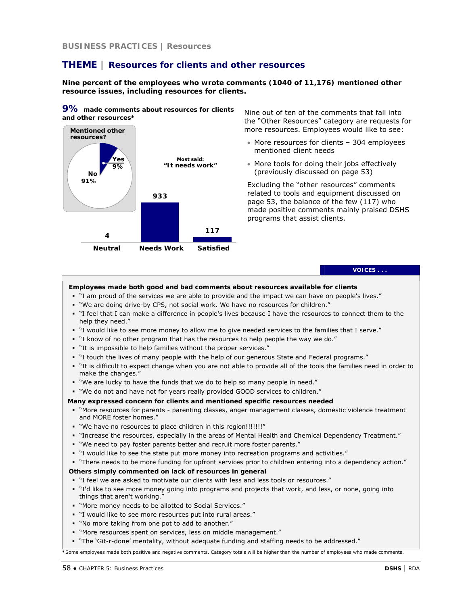# **THEME | Resources for clients and other resources**

**Nine percent of the employees who wrote comments (1040 of 11,176) mentioned other resource issues, including resources for clients.** 

**9% made comments about resources for clients and other resources\*** 



Nine out of ten of the comments that fall into the "Other Resources" category are requests for more resources. Employees would like to see:

- More resources for clients 304 employees mentioned client needs
- More tools for doing their jobs effectively (previously discussed on page 53)

Excluding the "other resources" comments related to tools and equipment discussed on page 53, the balance of the few (117) who made positive comments mainly praised DSHS programs that assist clients.

**VOICES . . .** 

### **Employees made both good and bad comments about resources available for clients**

- "I am proud of the services we are able to provide and the impact we can have on people's lives."
- "We are doing drive-by CPS, not social work. We have no resources for children."
- "I feel that I can make a difference in people's lives because I have the resources to connect them to the help they need."
- "I would like to see more money to allow me to give needed services to the families that I serve."
- "I know of no other program that has the resources to help people the way we do."
- "It is impossible to help families without the proper services."
- "I touch the lives of many people with the help of our generous State and Federal programs."
- "It is difficult to expect change when you are not able to provide all of the tools the families need in order to make the changes."
- "We are lucky to have the funds that we do to help so many people in need."
- "We do not and have not for years really provided GOOD services to children."

#### **Many expressed concern for clients and mentioned specific resources needed**

- "More resources for parents parenting classes, anger management classes, domestic violence treatment and MORE foster homes."
- . "We have no resources to place children in this region!!!!!!!!"
- "Increase the resources, especially in the areas of Mental Health and Chemical Dependency Treatment."
- "We need to pay foster parents better and recruit more foster parents."
- "I would like to see the state put more money into recreation programs and activities."
- "There needs to be more funding for upfront services prior to children entering into a dependency action."

#### **Others simply commented on lack of resources in general**

- "I feel we are asked to motivate our clients with less and less tools or resources."
- "I'd like to see more money going into programs and projects that work, and less, or none, going into things that aren't working."
- "More money needs to be allotted to Social Services."
- "I would like to see more resources put into rural areas."
- "No more taking from one pot to add to another."
- "More resources spent on services, less on middle management."
- "The 'Git-r-done' mentality, without adequate funding and staffing needs to be addressed."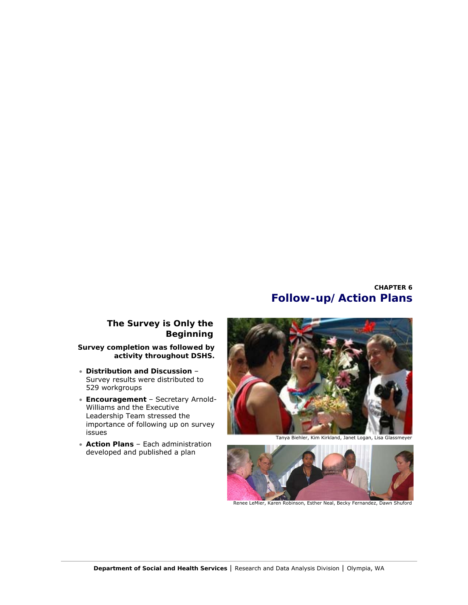# **CHAPTER 6 Follow-up/Action Plans**

# **The Survey is Only the Beginning**

**Survey completion was followed by activity throughout DSHS.** 

- **Distribution and Discussion** – Survey results were distributed to 529 workgroups
- **Encouragement**  Secretary Arnold-Williams and the Executive Leadership Team stressed the importance of following up on survey issues
- **Action Plans**  Each administration developed and published a plan



Tanya Biehler, Kim Kirkland, Janet Logan, Lisa Glassmeyer



Renee LeMier, Karen Robinson, Esther Neal, Becky Fernandez, Dawn Shuford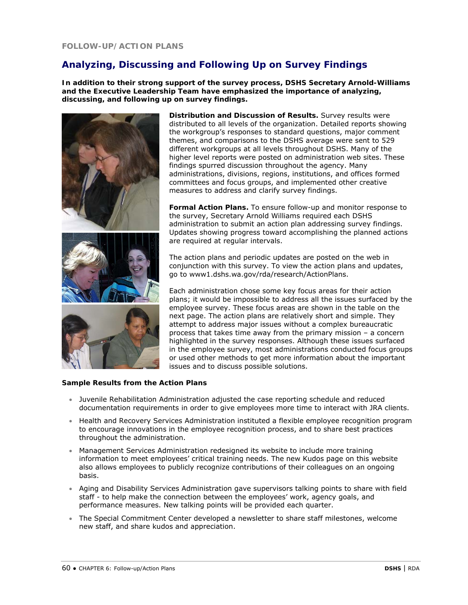# **Analyzing, Discussing and Following Up on Survey Findings**

**In addition to their strong support of the survey process, DSHS Secretary Arnold-Williams and the Executive Leadership Team have emphasized the importance of analyzing, discussing, and following up on survey findings.** 







**Distribution and Discussion of Results.** Survey results were distributed to all levels of the organization. Detailed reports showing the workgroup's responses to standard questions, major comment themes, and comparisons to the DSHS average were sent to 529 different workgroups at all levels throughout DSHS. Many of the higher level reports were posted on administration web sites. These findings spurred discussion throughout the agency. Many administrations, divisions, regions, institutions, and offices formed committees and focus groups, and implemented other creative measures to address and clarify survey findings.

**Formal Action Plans.** To ensure follow-up and monitor response to the survey, Secretary Arnold Williams required each DSHS administration to submit an action plan addressing survey findings. Updates showing progress toward accomplishing the planned actions are required at regular intervals.

The action plans and periodic updates are posted on the web in conjunction with this survey. To view the action plans and updates, go to www1.dshs.wa.gov/rda/research/ActionPlans.

Each administration chose some key focus areas for their action plans; it would be impossible to address all the issues surfaced by the employee survey. These focus areas are shown in the table on the next page. The action plans are relatively short and simple. They attempt to address major issues without a complex bureaucratic process that takes time away from the primary mission – a concern highlighted in the survey responses. Although these issues surfaced in the employee survey, most administrations conducted focus groups or used other methods to get more information about the important issues and to discuss possible solutions.

### **Sample Results from the Action Plans**

- Juvenile Rehabilitation Administration adjusted the case reporting schedule and reduced documentation requirements in order to give employees more time to interact with JRA clients.
- Health and Recovery Services Administration instituted a flexible employee recognition program to encourage innovations in the employee recognition process, and to share best practices throughout the administration.
- Management Services Administration redesigned its website to include more training information to meet employees' critical training needs. The new Kudos page on this website also allows employees to publicly recognize contributions of their colleagues on an ongoing basis.
- Aging and Disability Services Administration gave supervisors talking points to share with field staff - to help make the connection between the employees' work, agency goals, and performance measures. New talking points will be provided each quarter.
- The Special Commitment Center developed a newsletter to share staff milestones, welcome new staff, and share kudos and appreciation.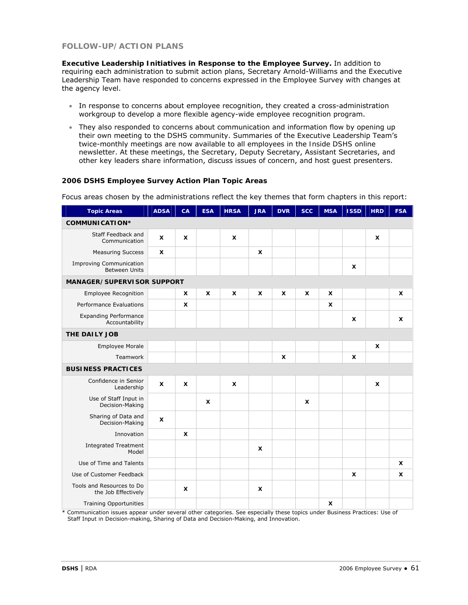# **FOLLOW-UP/ACTION PLANS**

**Executive Leadership Initiatives in Response to the Employee Survey.** In addition to requiring each administration to submit action plans, Secretary Arnold-Williams and the Executive Leadership Team have responded to concerns expressed in the Employee Survey with changes at the agency level.

- In response to concerns about employee recognition, they created a cross-administration workgroup to develop a more flexible agency-wide employee recognition program.
- They also responded to concerns about communication and information flow by opening up their own meeting to the DSHS community. Summaries of the Executive Leadership Team's twice-monthly meetings are now available to all employees in the *Inside DSHS* online newsletter. At these meetings, the Secretary, Deputy Secretary, Assistant Secretaries, and other key leaders share information, discuss issues of concern, and host guest presenters.

### **2006 DSHS Employee Survey Action Plan Topic Areas**

Focus areas chosen by the administrations reflect the key themes that form chapters in this report:

| <b>Topic Areas</b>                                     | <b>ADSA</b>               | CA                        | <b>ESA</b>                | <b>HRSA</b>  | <b>JRA</b>     | <b>DVR</b>                | <b>SCC</b> | <b>MSA</b>     | <b>ISSD</b>    | <b>HRD</b>       | <b>FSA</b>                |
|--------------------------------------------------------|---------------------------|---------------------------|---------------------------|--------------|----------------|---------------------------|------------|----------------|----------------|------------------|---------------------------|
| <b>COMMUNICATION*</b>                                  |                           |                           |                           |              |                |                           |            |                |                |                  |                           |
| Staff Feedback and<br>Communication                    | $\boldsymbol{\mathsf{x}}$ | X                         |                           | X            |                |                           |            |                |                | X                |                           |
| <b>Measuring Success</b>                               | $\boldsymbol{\mathsf{x}}$ |                           |                           |              | $\pmb{\times}$ |                           |            |                |                |                  |                           |
| <b>Improving Communication</b><br><b>Between Units</b> |                           |                           |                           |              |                |                           |            |                | X              |                  |                           |
| <b>MANAGER/SUPERVISOR SUPPORT</b>                      |                           |                           |                           |              |                |                           |            |                |                |                  |                           |
| Employee Recognition                                   |                           | X                         | $\boldsymbol{\mathsf{x}}$ | X            | X              | $\boldsymbol{\mathsf{x}}$ | X          | X              |                |                  | X                         |
| Performance Evaluations                                |                           | $\pmb{\times}$            |                           |              |                |                           |            | X              |                |                  |                           |
| <b>Expanding Performance</b><br>Accountability         |                           |                           |                           |              |                |                           |            |                | X              |                  | $\boldsymbol{\mathsf{x}}$ |
| THE DAILY JOB                                          |                           |                           |                           |              |                |                           |            |                |                |                  |                           |
| <b>Employee Morale</b>                                 |                           |                           |                           |              |                |                           |            |                |                | $\boldsymbol{x}$ |                           |
| Teamwork                                               |                           |                           |                           |              |                | X                         |            |                | X              |                  |                           |
| <b>BUSINESS PRACTICES</b>                              |                           |                           |                           |              |                |                           |            |                |                |                  |                           |
| Confidence in Senior<br>Leadership                     | $\boldsymbol{\mathsf{x}}$ | X                         |                           | $\mathsf{x}$ |                |                           |            |                |                | X                |                           |
| Use of Staff Input in<br>Decision-Making               |                           |                           | $\boldsymbol{\mathsf{x}}$ |              |                |                           | X          |                |                |                  |                           |
| Sharing of Data and<br>Decision-Making                 | $\boldsymbol{\mathsf{x}}$ |                           |                           |              |                |                           |            |                |                |                  |                           |
| Innovation                                             |                           | $\boldsymbol{\mathsf{x}}$ |                           |              |                |                           |            |                |                |                  |                           |
| <b>Integrated Treatment</b><br>Model                   |                           |                           |                           |              | x              |                           |            |                |                |                  |                           |
| Use of Time and Talents                                |                           |                           |                           |              |                |                           |            |                |                |                  | $\mathsf{x}$              |
| Use of Customer Feedback                               |                           |                           |                           |              |                |                           |            |                | $\pmb{\times}$ |                  | $\mathsf{x}$              |
| Tools and Resources to Do<br>the Job Effectively       |                           | x                         |                           |              | x              |                           |            |                |                |                  |                           |
| <b>Training Opportunities</b>                          |                           |                           |                           |              |                |                           |            | $\pmb{\times}$ |                |                  |                           |

\* Communication issues appear under several other categories. See especially these topics under Business Practices: Use of Staff Input in Decision-making, Sharing of Data and Decision-Making, and Innovation.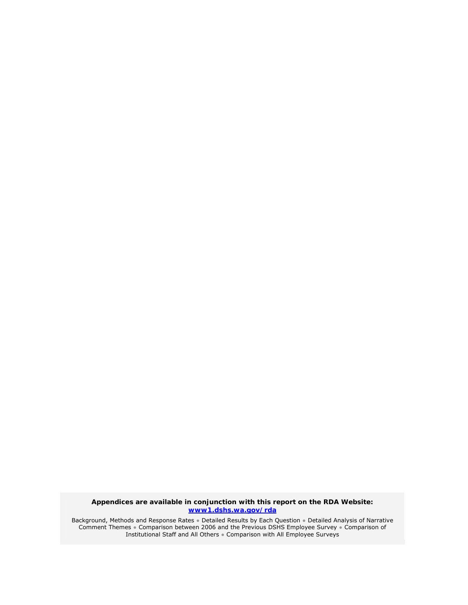**Appendices are available in conjunction with this report on the RDA Website: www1.dshs.wa.gov/rda**

Background, Methods and Response Rates ● Detailed Results by Each Question ● Detailed Analysis of Narrative Comment Themes ● Comparison between 2006 and the Previous DSHS Employee Survey ● Comparison of Institutional Staff and All Others ● Comparison with All Employee Surveys